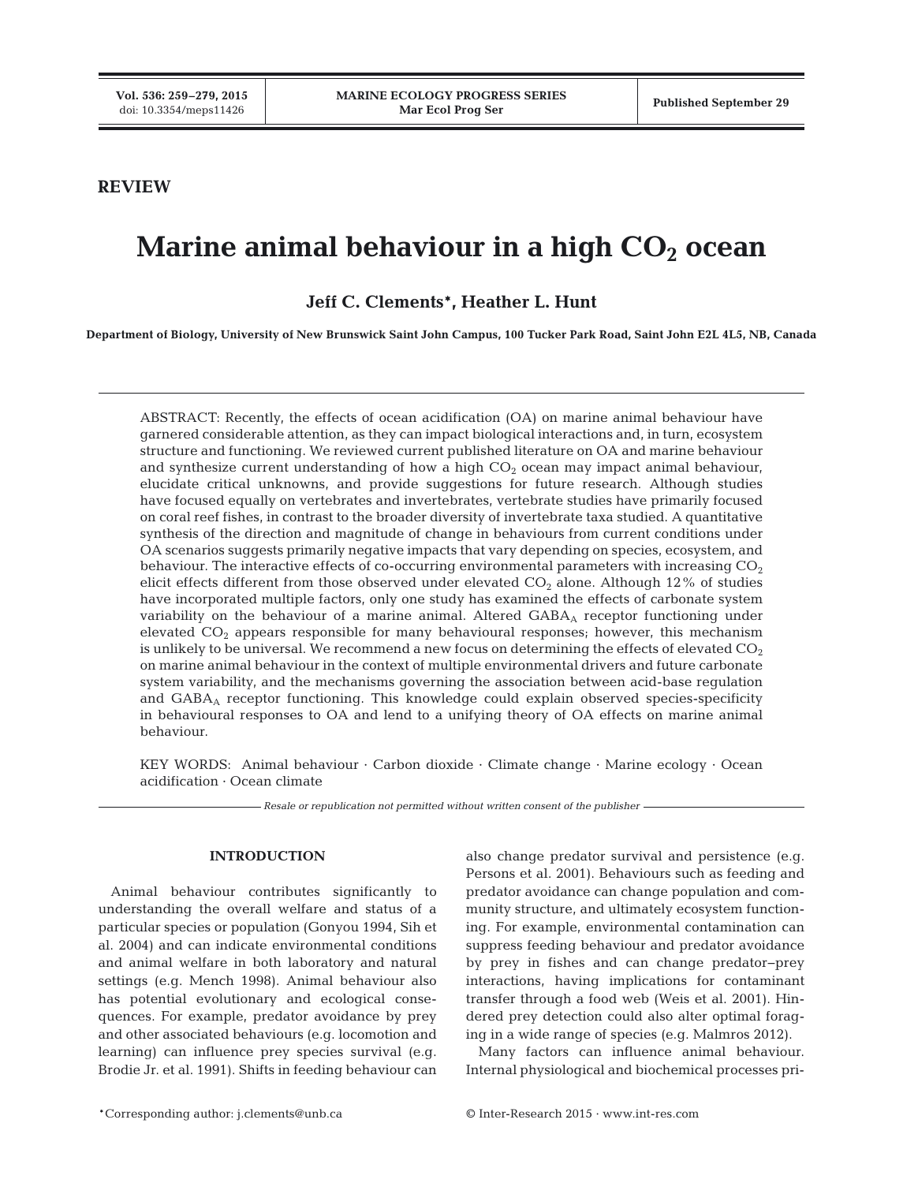# **REVIEW**

# **Marine animal behaviour in a high**  $CO<sub>2</sub>$  **ocean**

**Jeff C. Clements\*, Heather L. Hunt**

**Department of Biology, University of New Brunswick Saint John Campus, 100 Tucker Park Road, Saint John E2L 4L5, NB, Canada**

ABSTRACT: Recently, the effects of ocean acidification (OA) on marine animal behaviour have garnered considerable attention, as they can impact biological interactions and, in turn, ecosystem structure and functioning. We reviewed current published literature on OA and marine behaviour and synthesize current understanding of how a high  $CO<sub>2</sub>$  ocean may impact animal behaviour, elucidate critical unknowns, and provide suggestions for future research. Although studies have focused equally on vertebrates and invertebrates, vertebrate studies have primarily focused on coral reef fishes, in contrast to the broader diversity of invertebrate taxa studied. A quantitative synthesis of the direction and magnitude of change in behaviours from current conditions under OA scenarios suggests primarily negative impacts that vary depending on species, ecosystem, and behaviour. The interactive effects of co-occurring environmental parameters with increasing  $CO<sub>2</sub>$ elicit effects different from those observed under elevated  $CO<sub>2</sub>$  alone. Although 12% of studies have incorporated multiple factors, only one study has examined the effects of carbonate system variability on the behaviour of a marine animal. Altered GABA<sub>A</sub> receptor functioning under elevated  $CO<sub>2</sub>$  appears responsible for many behavioural responses; however, this mechanism is unlikely to be universal. We recommend a new focus on determining the effects of elevated  $CO<sub>2</sub>$ on marine animal behaviour in the context of multiple environmental drivers and future carbonate system variability, and the mechanisms governing the association between acid-base regulation and  $GABA_A$  receptor functioning. This knowledge could explain observed species-specificity in behavioural responses to OA and lend to a unifying theory of OA effects on marine animal behaviour.

KEY WORDS: Animal behaviour · Carbon dioxide · Climate change · Marine ecology · Ocean acidification · Ocean climate

*Resale or republication not permitted without written consent of the publisher*

## **INTRODUCTION**

Animal behaviour contributes significantly to understanding the overall welfare and status of a particular species or population (Gonyou 1994, Sih et al. 2004) and can indicate environmental conditions and animal welfare in both laboratory and natural settings (e.g. Mench 1998). Animal behaviour also has potential evolutionary and ecological consequences. For example, predator avoidance by prey and other associated behaviours (e.g. locomotion and learning) can influence prey species survival (e.g. Brodie Jr. et al. 1991). Shifts in feeding behaviour can also change predator survival and persistence (e.g. Persons et al. 2001). Behaviours such as feeding and predator avoidance can change population and community structure, and ultimately ecosystem functioning. For example, environmental contamination can suppress feeding behaviour and predator avoidance by prey in fishes and can change predator−prey interactions, having implications for contaminant transfer through a food web (Weis et al. 2001). Hindered prey detection could also alter optimal foraging in a wide range of species (e.g. Malmros 2012).

Many factors can influence animal behaviour. Internal physiological and biochemical processes pri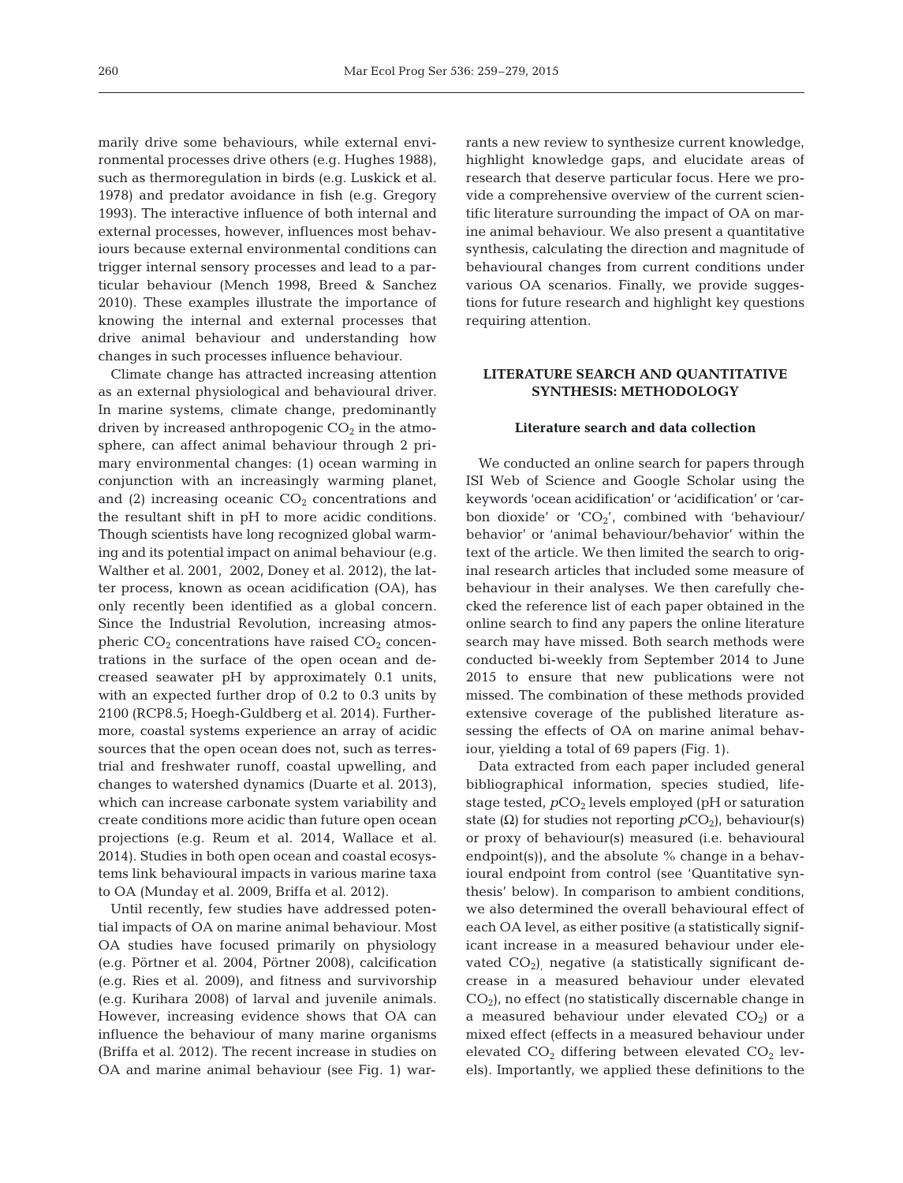marily drive some behaviours, while external environmental processes drive others (e.g. Hughes 1988), such as thermoregulation in birds (e.g. Luskick et al. 1978) and predator avoidance in fish (e.g. Gregory 1993). The interactive influence of both internal and external processes, however, influences most behaviours because external environmental conditions can trigger internal sensory processes and lead to a particular behaviour (Mench 1998, Breed & Sanchez 2010). These examples illustrate the importance of knowing the internal and external processes that drive animal behaviour and understanding how changes in such processes influence behaviour.

Climate change has attracted increasing attention as an external physiological and behavioural driver. In marine systems, climate change, predominantly driven by increased anthropogenic  $CO<sub>2</sub>$  in the atmosphere, can affect animal behaviour through 2 primary environmental changes: (1) ocean warming in conjunction with an increasingly warming planet, and (2) increasing oceanic  $CO<sub>2</sub>$  concentrations and the resultant shift in pH to more acidic conditions. Though scientists have long recognized global warming and its potential impact on animal behaviour (e.g. Walther et al. 2001, 2002, Doney et al. 2012), the latter process, known as ocean acidification (OA), has only recently been identified as a global concern. Since the Industrial Revolution, increasing atmospheric  $CO<sub>2</sub>$  concentrations have raised  $CO<sub>2</sub>$  concentrations in the surface of the open ocean and decreased seawater pH by approximately 0.1 units, with an expected further drop of  $0.2$  to  $0.3$  units by 2100 (RCP8.5; Hoegh-Guldberg et al. 2014). Furthermore, coastal systems experience an array of acidic sources that the open ocean does not, such as terrestrial and freshwater runoff, coastal upwelling, and changes to watershed dynamics (Duarte et al. 2013), which can increase carbonate system variability and create conditions more acidic than future open ocean projections (e.g. Reum et al. 2014, Wallace et al. 2014). Studies in both open ocean and coastal ecosystems link behavioural impacts in various marine taxa to OA (Munday et al. 2009, Briffa et al. 2012).

Until recently, few studies have addressed potential impacts of OA on marine animal behaviour. Most OA studies have focused primarily on physiology (e.g. Pörtner et al. 2004, Pörtner 2008), calcification (e.g. Ries et al. 2009), and fitness and survivorship (e.g. Kurihara 2008) of larval and juvenile animals. However, increasing evidence shows that OA can influence the behaviour of many marine organisms (Briffa et al. 2012). The recent increase in studies on OA and marine animal behaviour (see Fig. 1) warrants a new review to synthesize current knowledge, highlight knowledge gaps, and elucidate areas of research that deserve particular focus. Here we provide a comprehensive overview of the current scientific literature surrounding the impact of OA on marine animal behaviour. We also present a quantitative synthesis, calculating the direction and magnitude of behavioural changes from current conditions under various OA scenarios. Finally, we provide suggestions for future research and highlight key questions requiring attention.

## **LITERATURE SEARCH AND QUANTITATIVE SYNTHESIS: METHODOLOGY**

#### **Literature search and data collection**

We conducted an online search for papers through ISI Web of Science and Google Scholar using the keywords 'ocean acidification' or 'acidification' or 'carbon dioxide' or  $'CO_2'$ , combined with 'behaviour/ behavior' or 'animal behaviour/behavior' within the text of the article. We then limited the search to original research articles that included some measure of behaviour in their analyses. We then carefully checked the reference list of each paper obtained in the online search to find any papers the online literature search may have missed. Both search methods were conducted bi-weekly from September 2014 to June 2015 to ensure that new publications were not missed. The combination of these methods provided extensive coverage of the published literature assessing the effects of OA on marine animal behaviour, yielding a total of 69 papers (Fig. 1).

Data extracted from each paper included general bibliographical information, species studied, lifestage tested,  $pCO<sub>2</sub>$  levels employed (pH or saturation state ( $\Omega$ ) for studies not reporting  $pCO_2$ ), behaviour(s) or proxy of behaviour(s) measured (i.e. behavioural endpoint(s)), and the absolute  $%$  change in a behavioural endpoint from control (see 'Quantitative synthesis' below). In comparison to ambient conditions, we also determined the overall behavioural effect of each OA level, as either positive (a statistically significant increase in a measured behaviour under elevated  $CO<sub>2</sub>$ ) negative (a statistically significant decrease in a measured behaviour under elevated  $CO<sub>2</sub>$ ), no effect (no statistically discernable change in a measured behaviour under elevated  $CO<sub>2</sub>$ ) or a mixed effect (effects in a measured behaviour under elevated  $CO<sub>2</sub>$  differing between elevated  $CO<sub>2</sub>$  levels). Importantly, we applied these definitions to the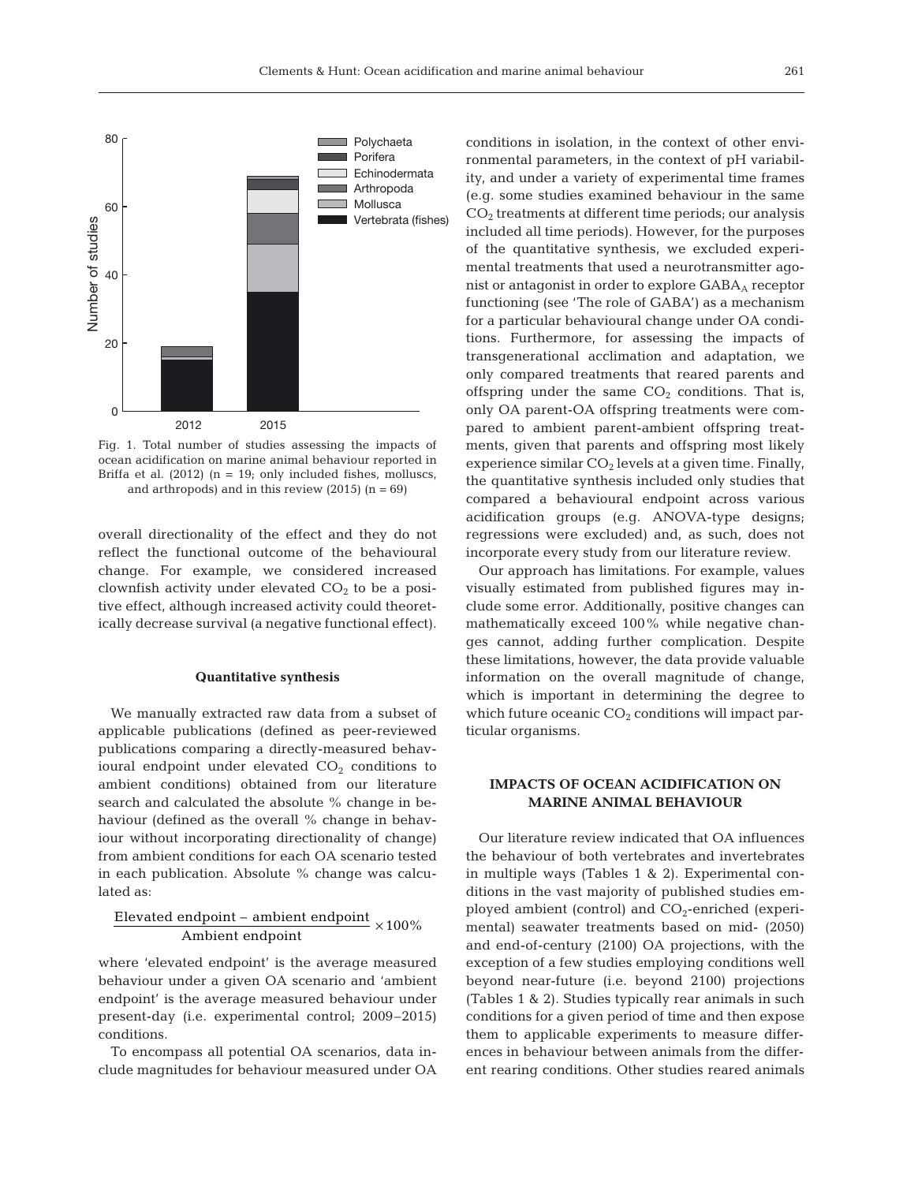

Fig. 1. Total number of studies assessing the impacts of ocean acidification on marine animal behaviour reported in Briffa et al.  $(2012)$   $(n = 19;$  only included fishes, molluscs, and arthropods) and in this review  $(2015)$   $(n = 69)$ 

overall directionality of the effect and they do not reflect the functional outcome of the behavioural change. For example, we considered increased clownfish activity under elevated  $CO<sub>2</sub>$  to be a positive effect, although increased activity could theoretically decrease survival (a negative functional effect).

#### **Quantitative synthesis**

We manually extracted raw data from a subset of applicable publications (defined as peer-reviewed publications comparing a directly-measured behavioural endpoint under elevated  $CO<sub>2</sub>$  conditions to ambient conditions) obtained from our literature search and calculated the absolute % change in be haviour (defined as the overall % change in behaviour without incorporating directionality of change) from ambient conditions for each OA scenario tested in each publication. Absolute % change was calculated as:

$$
\frac{Electated\ endpoint - ambient\ endpoint}{\rm Ambient\ endpoint} \times 100\%
$$

where 'elevated endpoint' is the average measured behaviour under a given OA scenario and 'ambient endpoint' is the average measured behaviour under present-day (i.e. experimental control; 2009–2015) conditions.

To encompass all potential OA scenarios, data in clude magnitudes for behaviour measured under OA conditions in isolation, in the context of other environmental parameters, in the context of pH variability, and under a variety of experimental time frames (e.g. some studies examined behaviour in the same  $CO<sub>2</sub>$  treatments at different time periods; our analysis included all time periods). However, for the purposes of the quantitative synthesis, we excluded experimental treatments that used a neurotransmitter agonist or antagonist in order to explore GABAA receptor functioning (see 'The role of GABA') as a mechanism for a particular behavioural change under OA conditions. Furthermore, for assessing the impacts of transgenerational acclimation and adaptation, we only compared treatments that reared parents and offspring under the same  $CO<sub>2</sub>$  conditions. That is, only OA parent-OA offspring treatments were compared to ambient parent-ambient offspring treatments, given that parents and offspring most likely experience similar  $CO<sub>2</sub>$  levels at a given time. Finally, the quantitative synthesis included only studies that compared a behavioural endpoint across various acidification groups (e.g. ANOVA-type designs; regressions were excluded) and, as such, does not incorporate every study from our literature review.

Our approach has limitations. For example, values visually estimated from published figures may include some error. Additionally, positive changes can mathematically exceed 100% while negative changes cannot, adding further complication. Despite these limitations, however, the data provide valuable information on the overall magnitude of change, which is important in determining the degree to which future oceanic  $CO<sub>2</sub>$  conditions will impact particular organisms.

## **IMPACTS OF OCEAN ACIDIFICATION ON MARINE ANIMAL BEHAVIOUR**

Our literature review indicated that OA influences the behaviour of both vertebrates and invertebrates in multiple ways (Tables  $1 \& 2$ ). Experimental conditions in the vast majority of published studies employed ambient (control) and  $CO<sub>2</sub>$ -enriched (experimental) seawater treatments based on mid- (2050) and end-of-century (2100) OA projections, with the exception of a few studies employing conditions well beyond near-future (i.e. beyond 2100) projections (Tables 1 & 2). Studies typically rear animals in such conditions for a given period of time and then expose them to applicable experiments to measure differences in behaviour between animals from the different rearing conditions. Other studies reared animals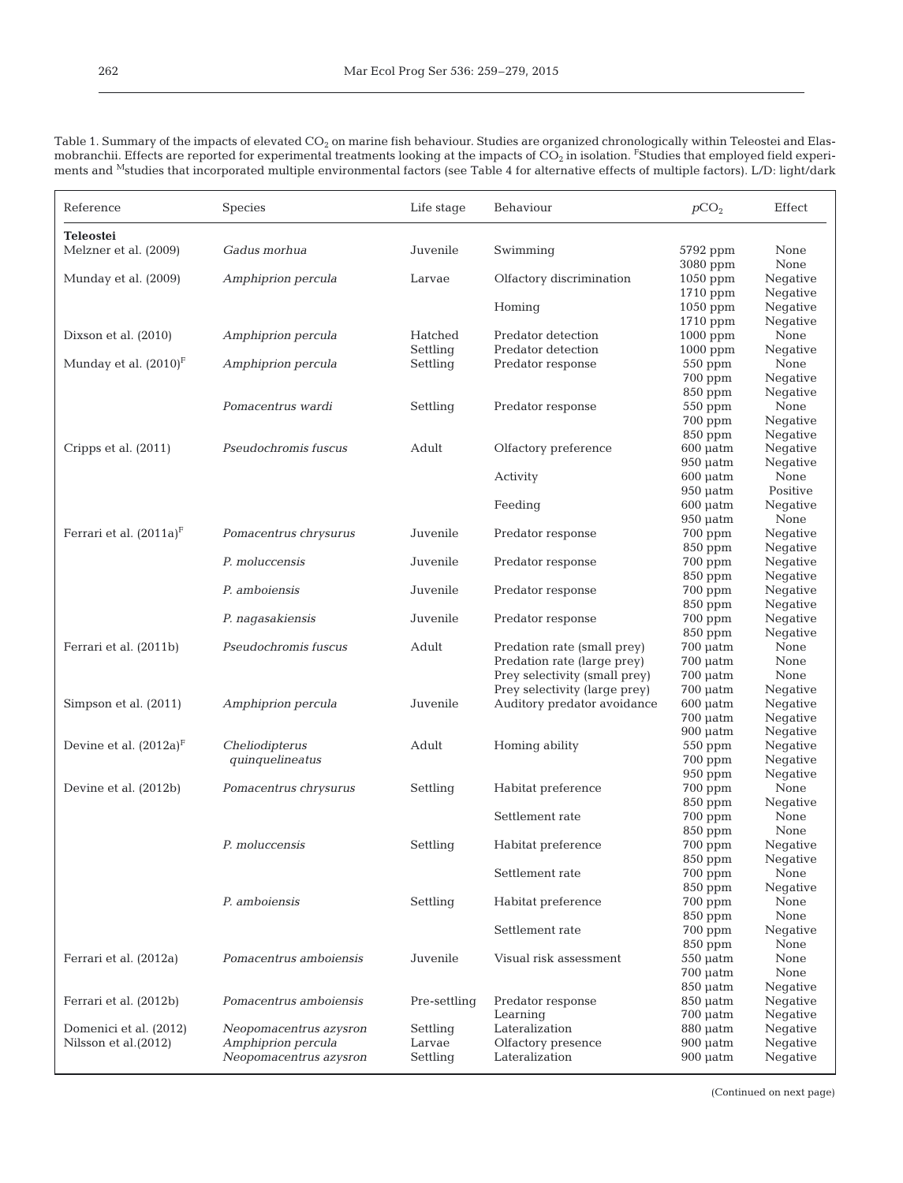| Table 1. Summary of the impacts of elevated $CO2$ on marine fish behaviour. Studies are organized chronologically within Teleostei and Elas-                |
|-------------------------------------------------------------------------------------------------------------------------------------------------------------|
| mobranchii. Effects are reported for experimental treatments looking at the impacts of $CO2$ in isolation. <sup>F</sup> Studies that employed field experi- |
| ments and <sup>M</sup> studies that incorporated multiple environmental factors (see Table 4 for alternative effects of multiple factors). L/D: light/dark  |

| Reference                                      | Species                                      | Life stage         | Behaviour                               | pCO <sub>2</sub>                   | Effect               |
|------------------------------------------------|----------------------------------------------|--------------------|-----------------------------------------|------------------------------------|----------------------|
| <b>Teleostei</b>                               |                                              |                    |                                         |                                    |                      |
| Melzner et al. (2009)                          | Gadus morhua                                 | Juvenile           | Swimming                                | 5792 ppm                           | None                 |
| Munday et al. (2009)                           | Amphiprion percula                           | Larvae             | Olfactory discrimination                | 3080 ppm<br>1050 ppm               | None<br>Negative     |
|                                                |                                              |                    |                                         | 1710 ppm                           | Negative             |
|                                                |                                              |                    | Homing                                  | 1050 ppm                           | Negative             |
|                                                |                                              |                    |                                         | 1710 ppm                           | Negative             |
| Dixson et al. (2010)                           | Amphiprion percula                           | Hatched            | Predator detection                      | $1000$ ppm                         | None                 |
| Munday et al. $(2010)^F$                       |                                              | Settling           | Predator detection<br>Predator response | $1000$ ppm                         | Negative<br>None     |
|                                                | Amphiprion percula                           | Settling           |                                         | 550 ppm<br>700 ppm                 | Negative             |
|                                                |                                              |                    |                                         | 850 ppm                            | Negative             |
|                                                | Pomacentrus wardi                            | Settling           | Predator response                       | 550 ppm                            | None                 |
|                                                |                                              |                    |                                         | 700 ppm                            | Negative             |
|                                                |                                              |                    |                                         | 850 ppm                            | Negative             |
| Cripps et al. (2011)                           | Pseudochromis fuscus                         | Adult              | Olfactory preference                    | $600$ $\mu$ atm                    | Negative             |
|                                                |                                              |                    |                                         | $950$ $\mu$ atm                    | Negative             |
|                                                |                                              |                    | Activity                                | $600$ $\mu$ atm<br>$950$ $\mu$ atm | None<br>Positive     |
|                                                |                                              |                    | Feeding                                 | $600$ $\mu$ atm                    | Negative             |
|                                                |                                              |                    |                                         | $950$ $\mu$ atm                    | None                 |
| Ferrari et al. (2011a) <sup>F</sup>            | Pomacentrus chrysurus                        | Juvenile           | Predator response                       | $700$ ppm                          | Negative             |
|                                                |                                              |                    |                                         | 850 ppm                            | Negative             |
|                                                | P. moluccensis                               | Juvenile           | Predator response                       | 700 ppm                            | Negative             |
|                                                |                                              |                    |                                         | 850 ppm                            | Negative             |
|                                                | P. amboiensis                                | Juvenile           | Predator response                       | 700 ppm                            | Negative             |
|                                                | P. nagasakiensis                             | Juvenile           | Predator response                       | $850$ ppm<br>700 ppm               | Negative<br>Negative |
|                                                |                                              |                    |                                         | 850 ppm                            | Negative             |
| Ferrari et al. (2011b)                         | Pseudochromis fuscus                         | Adult              | Predation rate (small prey)             | $700$ $\mu$ atm                    | None                 |
|                                                |                                              |                    | Predation rate (large prey)             | $700 \mu atm$                      | None                 |
|                                                |                                              |                    | Prey selectivity (small prey)           | $700 \mu atm$                      | None                 |
|                                                |                                              |                    | Prey selectivity (large prey)           | $700$ $\mu$ atm                    | Negative             |
| Simpson et al. (2011)                          | Amphiprion percula                           | Juvenile           | Auditory predator avoidance             | $600$ $\mu$ atm                    | Negative             |
|                                                |                                              |                    |                                         | $700 \mu atm$<br>$900$ $\mu$ atm   | Negative<br>Negative |
| Devine et al. $(2012a)^F$                      | Cheliodipterus                               | Adult              | Homing ability                          | $550$ ppm                          | Negative             |
|                                                | quinquelineatus                              |                    |                                         | 700 ppm                            | Negative             |
|                                                |                                              |                    |                                         | 950 ppm                            | Negative             |
| Devine et al. (2012b)                          | Pomacentrus chrysurus                        | Settling           | Habitat preference                      | 700 ppm                            | None                 |
|                                                |                                              |                    |                                         | 850 ppm                            | Negative             |
|                                                |                                              |                    | Settlement rate                         | 700 ppm<br>850 ppm                 | None<br>None         |
|                                                | P. moluccensis                               | Settling           | Habitat preference                      | 700 ppm                            | Negative             |
|                                                |                                              |                    |                                         | 850 ppm                            | Negative             |
|                                                |                                              |                    | Settlement rate                         | 700 ppm                            | None                 |
|                                                |                                              |                    |                                         | 850 ppm                            | Negative             |
|                                                | P. amboiensis                                | Settling           | Habitat preference                      | 700 ppm                            | None                 |
|                                                |                                              |                    | Settlement rate                         | 850 ppm                            | None                 |
|                                                |                                              |                    |                                         | 700 ppm<br>850 ppm                 | Negative<br>None     |
| Ferrari et al. (2012a)                         | Pomacentrus amboiensis                       | Juvenile           | Visual risk assessment                  | $550$ $\mu$ atm                    | None                 |
|                                                |                                              |                    |                                         | $700$ $\mu$ atm                    | None                 |
|                                                |                                              |                    |                                         | $850 \mu atm$                      | Negative             |
| Ferrari et al. (2012b)                         | Pomacentrus amboiensis                       | Pre-settling       | Predator response                       | $850 \mu atm$                      | Negative             |
|                                                |                                              |                    | Learning                                | $700 \mu atm$                      | Negative             |
| Domenici et al. (2012)<br>Nilsson et al.(2012) | Neopomacentrus azysron<br>Amphiprion percula | Settling<br>Larvae | Lateralization<br>Olfactory presence    | 880 µatm<br>$900$ $\mu$ atm        | Negative<br>Negative |
|                                                | Neopomacentrus azysron                       | Settling           | Lateralization                          | $900$ $\mu$ atm                    | Negative             |
|                                                |                                              |                    |                                         |                                    |                      |

(Continued on next page)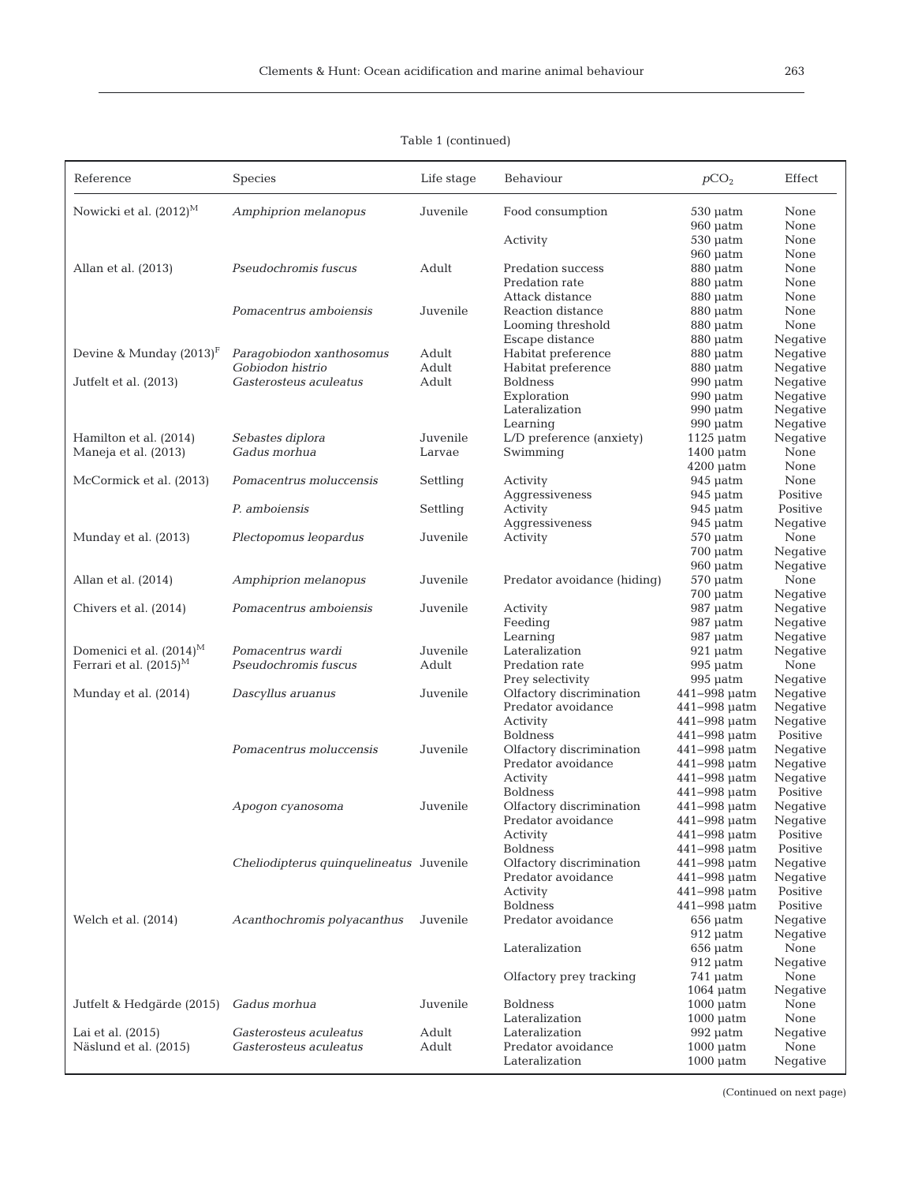| I<br>$\sim$ | I<br>$\sim$ |  |
|-------------|-------------|--|
|             |             |  |

| Reference                  | Species                                 | Life stage | Behaviour                   | pCO <sub>2</sub>                   | Effect               |
|----------------------------|-----------------------------------------|------------|-----------------------------|------------------------------------|----------------------|
| Nowicki et al. $(2012)^M$  | Amphiprion melanopus                    | Juvenile   | Food consumption            | $530 \mu atm$<br>$960$ $\mu$ atm   | None<br>None         |
|                            |                                         |            | Activity                    | $530 \mu atm$                      | None                 |
|                            |                                         |            |                             | $960$ $\mu$ atm                    | None                 |
| Allan et al. (2013)        | Pseudochromis fuscus                    | Adult      | Predation success           | 880 µatm                           | None                 |
|                            |                                         |            | Predation rate              | $880 \mu atm$                      | None                 |
|                            |                                         |            | Attack distance             | $880 \mu atm$                      | None                 |
|                            | Pomacentrus amboiensis                  | Juvenile   | Reaction distance           | 880 µatm                           | None                 |
|                            |                                         |            | Looming threshold           | 880 µatm                           | None                 |
|                            |                                         |            | Escape distance             | 880 µatm                           | Negative             |
| Devine & Munday $(2013)^F$ | Paragobiodon xanthosomus                | Adult      | Habitat preference          | $880 \mu atm$                      | Negative             |
|                            | Gobiodon histrio                        | Adult      | Habitat preference          | 880 µatm                           | Negative             |
| Jutfelt et al. (2013)      | Gasterosteus aculeatus                  | Adult      | <b>Boldness</b>             | $990$ $\mu$ atm                    | Negative             |
|                            |                                         |            | Exploration                 | $990$ $\mu$ atm                    | Negative             |
|                            |                                         |            | Lateralization              | $990$ $\mu$ atm                    | Negative             |
|                            |                                         |            | Learning                    | $990$ $\mu$ atm                    | Negative             |
| Hamilton et al. (2014)     | Sebastes diplora                        | Juvenile   | L/D preference (anxiety)    | $1125$ $\mu$ atm                   | Negative             |
| Maneja et al. (2013)       | Gadus morhua                            | Larvae     | Swimming                    | $1400 \mu atm$                     | None                 |
|                            |                                         |            |                             | $4200 \mu atm$                     | None                 |
| McCormick et al. (2013)    | Pomacentrus moluccensis                 | Settling   | Activity                    | $945$ $\mu$ atm                    | None                 |
|                            |                                         |            | Aggressiveness              | $945 \mu atm$                      | Positive             |
|                            | P. amboiensis                           | Settling   | Activity                    | $945$ $\mu$ atm                    | Positive             |
|                            |                                         | Juvenile   | Aggressiveness              | $945$ $\mu$ atm                    | Negative<br>None     |
| Munday et al. (2013)       | Plectopomus leopardus                   |            | Activity                    | $570$ $\mu$ atm<br>$700$ $\mu$ atm | Negative             |
|                            |                                         |            |                             | $960$ $\mu$ atm                    | Negative             |
| Allan et al. (2014)        | Amphiprion melanopus                    | Juvenile   | Predator avoidance (hiding) | $570$ $\mu$ atm                    | None                 |
|                            |                                         |            |                             | $700$ $\mu$ atm                    | Negative             |
| Chivers et al. (2014)      | Pomacentrus amboiensis                  | Juvenile   | Activity                    | 987 µatm                           | Negative             |
|                            |                                         |            | Feeding                     | 987 µatm                           | Negative             |
|                            |                                         |            | Learning                    | 987 µatm                           | Negative             |
| Domenici et al. $(2014)^M$ | Pomacentrus wardi                       | Juvenile   | Lateralization              | $921$ $\mu$ atm                    | Negative             |
| Ferrari et al. $(2015)^M$  | Pseudochromis fuscus                    | Adult      | Predation rate              | $995$ $\mu$ atm                    | None                 |
|                            |                                         |            | Prey selectivity            | $995$ $\mu$ atm                    | Negative             |
| Munday et al. (2014)       | Dascyllus aruanus                       | Juvenile   | Olfactory discrimination    | 441-998 µatm                       | Negative             |
|                            |                                         |            | Predator avoidance          | 441-998 µatm                       | Negative             |
|                            |                                         |            | Activity                    | 441-998 µatm                       | Negative             |
|                            |                                         |            | <b>Boldness</b>             | 441-998 µatm                       | Positive             |
|                            | Pomacentrus moluccensis                 | Juvenile   | Olfactory discrimination    | 441-998 µatm                       | Negative             |
|                            |                                         |            | Predator avoidance          | 441-998 µatm                       | Negative             |
|                            |                                         |            | Activity                    | 441-998 µatm                       | Negative             |
|                            |                                         |            | <b>Boldness</b>             | 441-998 µatm                       | Positive             |
|                            | Apogon cyanosoma                        | Juvenile   | Olfactory discrimination    | 441-998 µatm                       | Negative             |
|                            |                                         |            | Predator avoidance          | 441-998 µatm                       | Negative             |
|                            |                                         |            | Activity                    | 441-998 µatm                       | Positive             |
|                            |                                         |            | <b>Boldness</b>             | 441-998 µatm                       | Positive             |
|                            | Cheliodipterus quinquelineatus Juvenile |            | Olfactory discrimination    | 441-998 µatm                       | Negative             |
|                            |                                         |            | Predator avoidance          | 441-998 µatm                       | Negative             |
|                            |                                         |            | Activity<br><b>Boldness</b> | $441 - 998$ uatm<br>441-998 µatm   | Positive<br>Positive |
|                            |                                         | Juvenile   | Predator avoidance          |                                    |                      |
| Welch et al. (2014)        | Acanthochromis polyacanthus             |            |                             | $656$ $\mu$ atm<br>$912$ $\mu$ atm | Negative<br>Negative |
|                            |                                         |            | Lateralization              | $656$ $\mu$ atm                    | None                 |
|                            |                                         |            |                             | $912$ $\mu$ atm                    | Negative             |
|                            |                                         |            | Olfactory prey tracking     | $741$ µatm                         | None                 |
|                            |                                         |            |                             | $1064 \mu atm$                     | Negative             |
| Jutfelt & Hedgärde (2015)  | Gadus morhua                            | Juvenile   | <b>Boldness</b>             | $1000$ $\mu$ atm                   | None                 |
|                            |                                         |            | Lateralization              | $1000$ $\mu$ atm                   | None                 |
| Lai et al. (2015)          | Gasterosteus aculeatus                  | Adult      | Lateralization              | $992$ $\mu$ atm                    | Negative             |
| Näslund et al. (2015)      | Gasterosteus aculeatus                  | Adult      | Predator avoidance          | $1000$ $\mu$ atm                   | None                 |
|                            |                                         |            | Lateralization              | $1000$ $\mu$ atm                   | Negative             |

# Table 1 (continued)

(Continued on next page)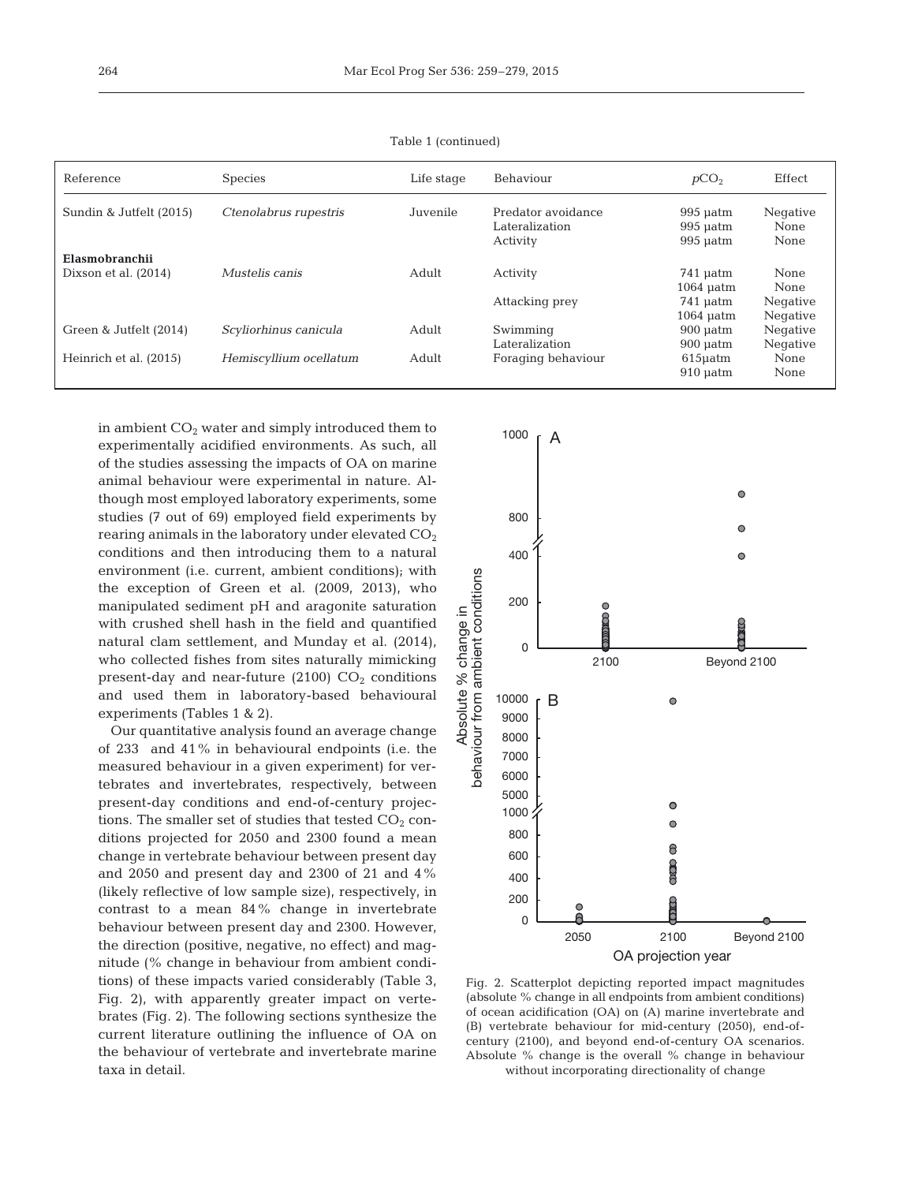| Reference               | <b>Species</b>         | Life stage | Behaviour                                        | pCO <sub>2</sub>                       | Effect                   |
|-------------------------|------------------------|------------|--------------------------------------------------|----------------------------------------|--------------------------|
| Sundin & Jutfelt (2015) | Ctenolabrus rupestris  | Juvenile   | Predator avoidance<br>Lateralization<br>Activity | $995$ uatm<br>$995$ uatm<br>$995$ uatm | Negative<br>None<br>None |
| Elasmobranchii          |                        |            |                                                  |                                        |                          |
| Dixson et al. (2014)    | Mustelis canis         | Adult      | Activity                                         | 741 uatm                               | None                     |
|                         |                        |            |                                                  | $1064$ uatm                            | None                     |
|                         |                        |            | Attacking prey                                   | 741 µatm                               | Negative                 |
|                         |                        |            |                                                  | $1064 \mu atm$                         | Negative                 |
| Green & Jutfelt (2014)  | Scyliorhinus canicula  | Adult      | Swimming                                         | $900$ uatm                             | Negative                 |
|                         |                        |            | Lateralization                                   | $900$ uatm                             | Negative                 |
| Heinrich et al. (2015)  | Hemiscyllium ocellatum | Adult      | Foraging behaviour                               | $615$ µatm                             | None                     |
|                         |                        |            |                                                  | $910$ uatm                             | None                     |

Table 1 (continued)

in ambient  $CO<sub>2</sub>$  water and simply introduced them to experimentally acidified environments. As such, all of the studies assessing the impacts of OA on marine animal behaviour were experimental in nature. Although most employed laboratory experiments, some studies (7 out of 69) employed field experiments by rearing animals in the laboratory under elevated  $CO<sub>2</sub>$ conditions and then introducing them to a natural environment (i.e. current, ambient conditions); with the exception of Green et al. (2009, 2013), who manipulated sediment pH and aragonite saturation with crushed shell hash in the field and quantified natural clam settlement, and Munday et al. (2014), who collected fishes from sites naturally mimicking present-day and near-future  $(2100)$   $CO<sub>2</sub>$  conditions and used them in laboratory-based behavioural experiments (Tables 1 & 2).

Our quantitative analysis found an average change of 233 and 41% in behavioural endpoints (i.e. the measured behaviour in a given experiment) for vertebrates and invertebrates, respectively, between present-day conditions and end-of-century projections. The smaller set of studies that tested  $CO<sub>2</sub>$  conditions projected for 2050 and 2300 found a mean change in vertebrate behaviour between present day and 2050 and present day and 2300 of 21 and 4% (likely reflective of low sample size), respectively, in contrast to a mean 84% change in invertebrate behaviour between present day and 2300. However, the direction (positive, negative, no effect) and magnitude (% change in behaviour from ambient conditions) of these impacts varied considerably (Table 3, Fig. 2), with apparently greater impact on vertebrates (Fig. 2). The following sections synthesize the current literature outlining the influence of OA on the behaviour of vertebrate and invertebrate marine taxa in detail.



Fig. 2. Scatterplot depicting reported impact magnitudes (absolute % change in all endpoints from ambient conditions) of ocean acidification (OA) on (A) marine invertebrate and (B) vertebrate behaviour for mid-century (2050), end-ofcentury (2100), and beyond end-of-century OA scenarios. Absolute % change is the overall % change in behaviour without incorporating directionality of change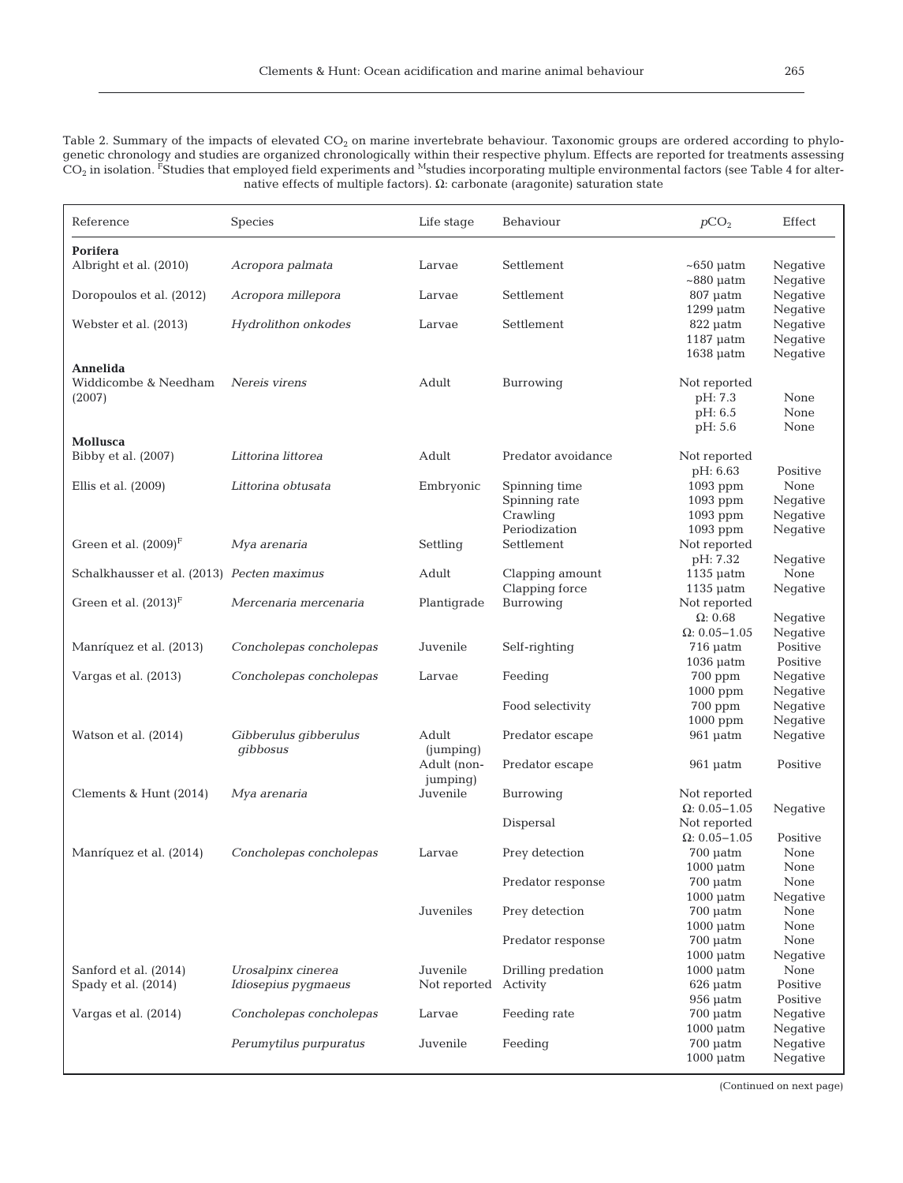Table 2. Summary of the impacts of elevated  $CO_2$  on marine invertebrate behaviour. Taxonomic groups are ordered according to phylogenetic chronology and studies are organized chronologically within their respective phylum. Effects are reported for treatments assessing  $CO<sub>2</sub>$  in isolation.  $\vec{F}$ Studies that employed field experiments and <sup>M</sup>studies incorporating multiple environmental factors (see Table 4 for alternative effects of multiple factors). Ω: carbonate (aragonite) saturation state

| Reference                                    | Species                                   | Life stage              | Behaviour                      | pCO <sub>2</sub>                                        | Effect                           |
|----------------------------------------------|-------------------------------------------|-------------------------|--------------------------------|---------------------------------------------------------|----------------------------------|
| Porifera<br>Albright et al. (2010)           | Acropora palmata                          | Larvae                  | Settlement                     | $\sim$ 650 µatm                                         | Negative                         |
| Doropoulos et al. (2012)                     | Acropora millepora                        | Larvae                  | Settlement                     | $\sim$ 880 µatm<br>$807$ $\mu$ atm                      | Negative<br>Negative             |
|                                              |                                           |                         |                                | $1299$ uatm                                             | Negative                         |
| Webster et al. (2013)                        | Hydrolithon onkodes                       | Larvae                  | Settlement                     | $822$ $\mu$ atm<br>$1187$ $\mu$ atm<br>$1638$ $\mu$ atm | Negative<br>Negative<br>Negative |
| Annelida<br>Widdicombe & Needham<br>(2007)   | Nereis virens                             | Adult                   | Burrowing                      | Not reported<br>pH: 7.3<br>pH: 6.5<br>pH: 5.6           | None<br>None<br>None             |
| Mollusca<br>Bibby et al. (2007)              | Littorina littorea                        | Adult                   | Predator avoidance             | Not reported<br>pH: 6.63                                | Positive                         |
| Ellis et al. $(2009)$                        | Littorina obtusata                        | Embryonic               | Spinning time                  | 1093 ppm                                                | None                             |
|                                              |                                           |                         | Spinning rate                  | 1093 ppm                                                | Negative                         |
|                                              |                                           |                         | Crawling                       | 1093 ppm                                                | Negative                         |
| Green et al. $(2009)^F$                      | Mya arenaria                              | Settling                | Periodization<br>Settlement    | 1093 ppm<br>Not reported                                | Negative                         |
|                                              |                                           |                         |                                | pH: 7.32                                                | Negative                         |
| Schalkhausser et al. (2013) Pecten maximus   |                                           | Adult                   | Clapping amount                | $1135$ $\mu$ atm                                        | None                             |
|                                              |                                           |                         | Clapping force                 | $1135$ $\mu$ atm                                        | Negative                         |
| Green et al. $(2013)^F$                      | Mercenaria mercenaria                     | Plantigrade             | Burrowing                      | Not reported                                            |                                  |
|                                              |                                           |                         |                                | $\Omega$ : 0.68                                         | Negative                         |
|                                              |                                           |                         |                                | $\Omega$ : 0.05-1.05                                    | Negative                         |
| Manríquez et al. (2013)                      | Concholepas concholepas                   | Juvenile                | Self-righting                  | $716 \mu atm$                                           | Positive<br>Positive             |
| Vargas et al. (2013)                         | Concholepas concholepas                   | Larvae                  | Feeding                        | $1036 \mu atm$<br>$700$ ppm                             | Negative                         |
|                                              |                                           |                         |                                | $1000$ ppm                                              | Negative                         |
|                                              |                                           |                         | Food selectivity               | 700 ppm                                                 | Negative                         |
|                                              |                                           |                         |                                | $1000$ ppm                                              | Negative                         |
| Watson et al. (2014)                         | Gibberulus gibberulus<br>gibbosus         | Adult<br>(jumping)      | Predator escape                | $961$ µatm                                              | Negative                         |
|                                              |                                           | Adult (non-<br>jumping) | Predator escape                | $961$ $\mu$ atm                                         | Positive                         |
| Clements & Hunt (2014)                       | Mya arenaria                              | Juvenile                | Burrowing                      | Not reported                                            |                                  |
|                                              |                                           |                         |                                | $\Omega: 0.05 - 1.05$                                   | Negative                         |
|                                              |                                           |                         | Dispersal                      | Not reported<br>$\Omega: 0.05 - 1.05$                   |                                  |
| Manríquez et al. (2014)                      | Concholepas concholepas                   | Larvae                  | Prey detection                 | $700 \mu atm$                                           | Positive<br>None                 |
|                                              |                                           |                         |                                | $1000$ $\mu$ atm                                        | None                             |
|                                              |                                           |                         | Predator response              | $700 \mu atm$                                           | None                             |
|                                              |                                           |                         |                                | $1000 \mu atm$                                          | Negative                         |
|                                              |                                           | Juveniles               | Prey detection                 | $700$ $\mu$ atm                                         | None                             |
|                                              |                                           |                         |                                | $1000$ $\mu$ atm                                        | None                             |
|                                              |                                           |                         | Predator response              | $700 \mu atm$                                           | None                             |
|                                              |                                           | Juvenile                |                                | $1000$ $\mu$ atm                                        | Negative                         |
| Sanford et al. (2014)<br>Spady et al. (2014) | Urosalpinx cinerea<br>Idiosepius pygmaeus | Not reported            | Drilling predation<br>Activity | $1000$ $\mu$ atm<br>$626$ $\mu$ atm                     | None<br>Positive                 |
|                                              |                                           |                         |                                | $956$ $\mu$ atm                                         | Positive                         |
| Vargas et al. (2014)                         | Concholepas concholepas                   | Larvae                  | Feeding rate                   | $700 \mu atm$                                           | Negative                         |
|                                              |                                           |                         |                                | $1000$ $\mu$ atm                                        | Negative                         |
|                                              | Perumytilus purpuratus                    | Juvenile                | Feeding                        | $700 \mu atm$                                           | Negative                         |
|                                              |                                           |                         |                                | $1000$ $\mu$ atm                                        | Negative                         |

(Continued on next page)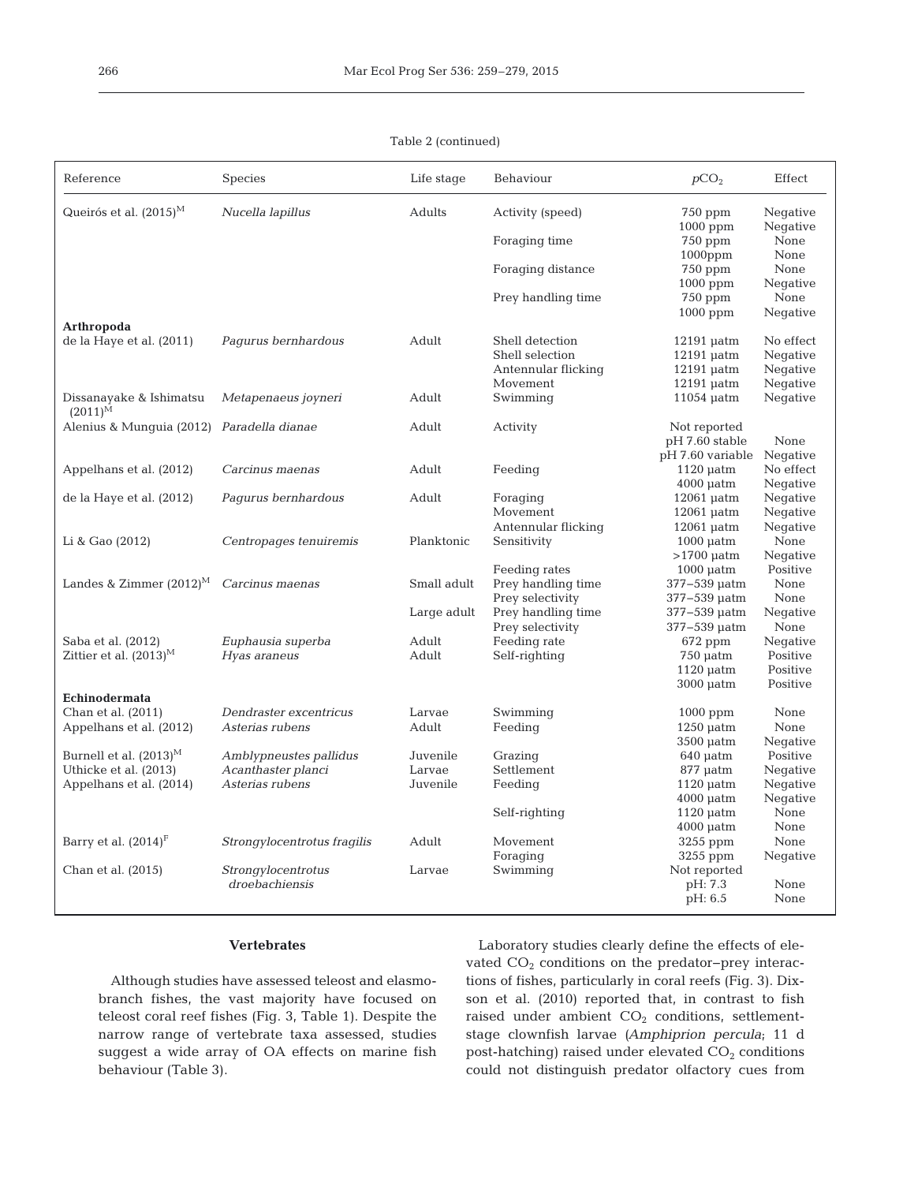|  | Table 2 (continued) |
|--|---------------------|
|--|---------------------|

| Reference                                 | <b>Species</b>              | Life stage  | Behaviour                              | pCO <sub>2</sub>             | Effect               |
|-------------------------------------------|-----------------------------|-------------|----------------------------------------|------------------------------|----------------------|
| Queirós et al. $(2015)^M$                 | Nucella lapillus            | Adults      | Activity (speed)                       | $750$ ppm<br>1000 ppm        | Negative<br>Negative |
|                                           |                             |             | Foraging time                          | $750$ ppm<br>$1000$ ppm      | None<br>None         |
|                                           |                             |             | Foraging distance                      | 750 ppm<br>1000 ppm          | None<br>Negative     |
|                                           |                             |             | Prey handling time                     | $750$ ppm<br>$1000$ ppm      | None<br>Negative     |
| Arthropoda                                |                             |             |                                        |                              |                      |
| de la Haye et al. (2011)                  | Pagurus bernhardous         | Adult       | Shell detection                        | $12191$ $\mu$ atm            | No effect            |
|                                           |                             |             | Shell selection                        | $12191$ $\mu$ atm            | Negative             |
|                                           |                             |             | Antennular flicking                    | $12191$ uatm                 | Negative             |
|                                           |                             |             | Movement                               | $12191$ $\mu$ atm            | Negative             |
| Dissanayake & Ishimatsu<br>$(2011)^{M}$   | Metapenaeus joyneri         | Adult       | Swimming                               | $11054 \mu atm$              | Negative             |
| Alenius & Munquia (2012) Paradella dianae |                             | Adult       | Activity                               | Not reported                 |                      |
|                                           |                             |             |                                        | pH 7.60 stable               | None                 |
|                                           |                             |             |                                        | pH 7.60 variable             | Negative             |
| Appelhans et al. (2012)                   | Carcinus maenas             | Adult       | Feeding                                | $1120 \mu atm$               | No effect            |
|                                           |                             |             |                                        | $4000$ $\mu$ atm             | Negative             |
| de la Haye et al. (2012)                  | Pagurus bernhardous         | Adult       | Foraging                               | $12061$ $\mu$ atm            | Negative             |
|                                           |                             |             | Movement                               | $12061$ $\mu$ atm            | Negative             |
|                                           |                             |             | Antennular flicking                    | $12061$ $\mu$ atm            | Negative             |
| Li & Gao (2012)                           | Centropages tenuiremis      | Planktonic  | Sensitivity                            | $1000$ $\mu$ atm             | None                 |
|                                           |                             |             |                                        | $>1700$ uatm                 | Negative             |
|                                           |                             |             | Feeding rates                          | $1000$ $\mu$ atm             | Positive             |
| Landes & Zimmer $(2012)^M$                | Carcinus maenas             | Small adult | Prey handling time                     | 377-539 µatm                 | None                 |
|                                           |                             |             | Prey selectivity                       | 377-539 µatm                 | None                 |
|                                           |                             | Large adult | Prey handling time<br>Prey selectivity | 377-539 µatm<br>377-539 µatm | Negative<br>None     |
| Saba et al. (2012)                        | Euphausia superba           | Adult       | Feeding rate                           | 672 ppm                      | Negative             |
| Zittier et al. $(2013)^M$                 | Hyas araneus                | Adult       | Self-righting                          | $750$ $\mu$ atm              | Positive             |
|                                           |                             |             |                                        | $1120$ $\mu$ atm             | Positive             |
|                                           |                             |             |                                        | $3000$ $\mu$ atm             | Positive             |
| Echinodermata                             |                             |             |                                        |                              |                      |
| Chan et al. (2011)                        | Dendraster excentricus      | Larvae      | Swimming                               | $1000$ ppm                   | None                 |
| Appelhans et al. (2012)                   | Asterias rubens             | Adult       | Feeding                                | $1250$ $\mu$ atm             | None                 |
|                                           |                             |             |                                        | $3500$ $\mu$ atm             | Negative             |
| Burnell et al. $(2013)^M$                 | Amblypneustes pallidus      | Juvenile    | Grazing                                | $640 \mu atm$                | Positive             |
| Uthicke et al. (2013)                     | Acanthaster planci          | Larvae      | Settlement                             | 877 µatm                     | Negative             |
| Appelhans et al. (2014)                   | Asterias rubens             | Juvenile    | Feeding                                | $1120$ $\mu$ atm             | Negative             |
|                                           |                             |             |                                        | $4000$ $\mu$ atm             | Negative             |
|                                           |                             |             | Self-righting                          | $1120$ $\mu$ atm             | None                 |
|                                           |                             |             |                                        | $4000$ $\mu$ atm             | None                 |
| Barry et al. (2014) <sup>F</sup>          | Strongylocentrotus fragilis | Adult       | Movement                               | 3255 ppm                     | None                 |
|                                           |                             |             | Foraging                               | 3255 ppm                     | Negative             |
| Chan et al. (2015)                        | Strongylocentrotus          | Larvae      | Swimming                               | Not reported                 |                      |
|                                           | droebachiensis              |             |                                        | pH: 7.3                      | None                 |
|                                           |                             |             |                                        | pH: 6.5                      | None                 |
|                                           |                             |             |                                        |                              |                      |

## **Vertebrates**

Although studies have assessed teleost and elasmobranch fishes, the vast majority have focused on teleost coral reef fishes (Fig. 3, Table 1). Despite the narrow range of vertebrate taxa assessed, studies suggest a wide array of OA effects on marine fish behaviour (Table 3).

Laboratory studies clearly define the effects of elevated CO<sub>2</sub> conditions on the predator-prey interactions of fishes, particularly in coral reefs (Fig. 3). Dixson et al. (2010) reported that, in contrast to fish raised under ambient CO<sub>2</sub> conditions, settlementstage clownfish larvae (Amphiprion percula; 11 d post-hatching) raised under elevated  $CO<sub>2</sub>$  conditions could not distinguish predator olfactory cues from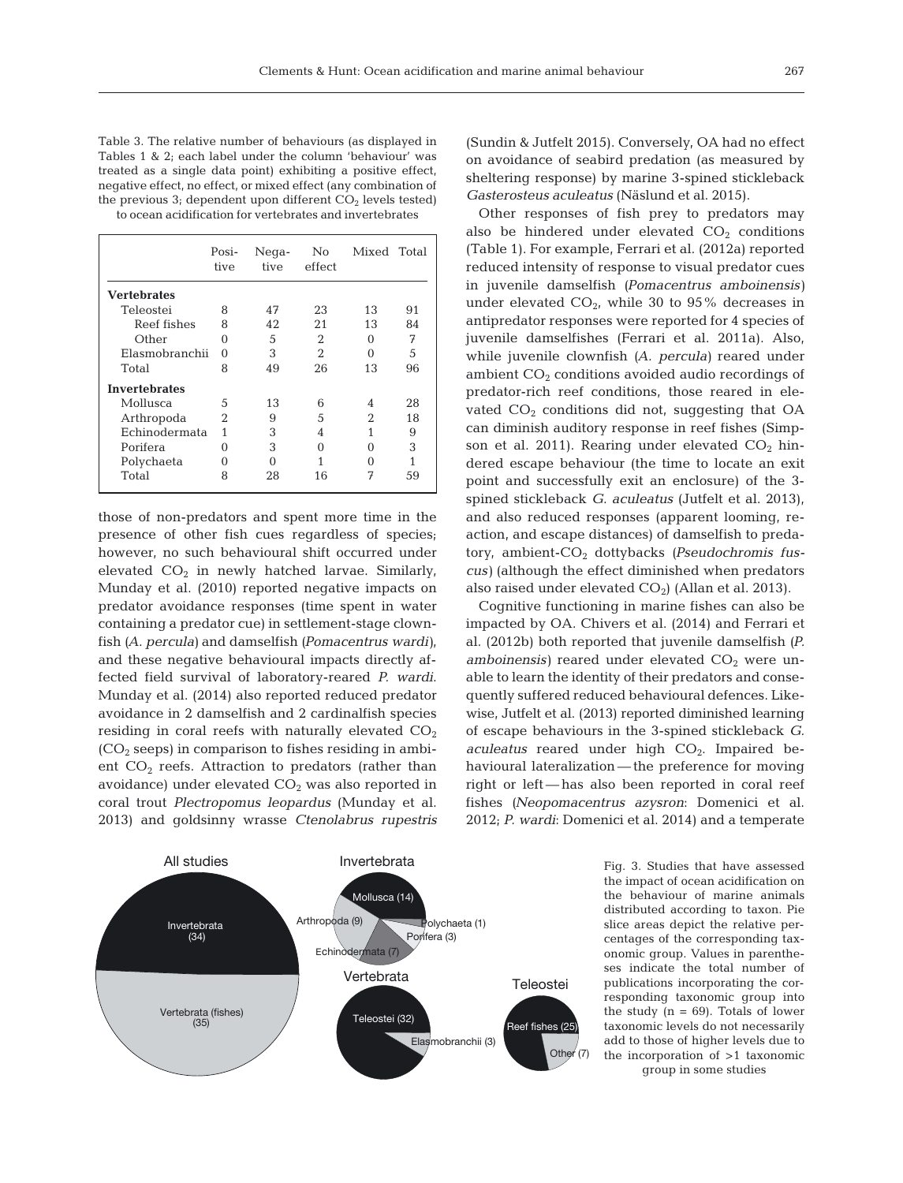Table 3. The relative number of behaviours (as displayed in Tables 1 & 2; each label under the column 'behaviour' was treated as a single data point) exhibiting a positive effect, negative effect, no effect, or mixed effect (any combination of the previous  $3$ ; dependent upon different  $CO<sub>2</sub>$  levels tested) to ocean acidification for vertebrates and invertebrates

|                      | Posi-<br>tive  | Nega-<br>tive | No<br>effect | Mixed Total |    |
|----------------------|----------------|---------------|--------------|-------------|----|
| <b>Vertebrates</b>   |                |               |              |             |    |
| Teleostei            | 8              | 47            | 23           | 13          | 91 |
| Reef fishes          | 8              | 42            | 21           | 13          | 84 |
| Other                | $\Omega$       | 5             | 2            | 0           | 7  |
| Elasmobranchii       | 0              | 3             | 2            | ∩           | 5  |
| Total                | 8              | 49            | 26           | 13          | 96 |
| <b>Invertebrates</b> |                |               |              |             |    |
| Mollusca             | .5             | 13            | 6            | 4           | 28 |
| Arthropoda           | $\mathfrak{D}$ | 9             | 5            | 2           | 18 |
| Echinodermata        | 1              | 3             | 4            | 1           | 9  |
| Porifera             | $\Omega$       | 3             | ∩            | ∩           | 3  |
| Polychaeta           | $\Omega$       | 0             |              | ∩           | 1  |
| Total                | 8              | 28            | 16           | 7           | 59 |

those of non-predators and spent more time in the presence of other fish cues regardless of species; however, no such behavioural shift occurred under elevated  $CO<sub>2</sub>$  in newly hatched larvae. Similarly, Munday et al. (2010) reported negative impacts on predator avoidance responses (time spent in water containing a predator cue) in settlement-stage clownfish *(A. percula)* and damselfish *(Pomacentrus wardi)*, and these negative behavioural impacts directly affected field survival of laboratory-reared *P. wardi*. Munday et al. (2014) also reported reduced predator avoidance in 2 damselfish and 2 cardinalfish species residing in coral reefs with naturally elevated  $CO<sub>2</sub>$  $(CO<sub>2</sub>$  seeps) in comparison to fishes residing in ambient  $CO<sub>2</sub>$  reefs. Attraction to predators (rather than avoidance) under elevated  $CO<sub>2</sub>$  was also reported in coral trout *Plectropomus leopardus* (Munday et al. 2013) and goldsinny wrasse *Ctenolabrus rupestris*



(Sundin & Jutfelt 2015). Conversely, OA had no effect on avoidance of seabird predation (as measured by sheltering response) by marine 3-spined stickleback *Gasterosteus aculeatus* (Näslund et al. 2015).

Other responses of fish prey to predators may also be hindered under elevated  $CO<sub>2</sub>$  conditions (Table 1). For example, Ferrari et al. (2012a) reported reduced intensity of response to visual predator cues in juvenile damselfish *(Pomacentrus amboinensis)* under elevated  $CO<sub>2</sub>$ , while 30 to 95% decreases in antipredator responses were reported for 4 species of ju venile damselfishes (Ferrari et al. 2011a). Also, while juvenile clownfish *(A. percula)* reared under ambient  $CO<sub>2</sub>$  conditions avoided audio recordings of predator-rich reef conditions, those reared in elevated  $CO<sub>2</sub>$  conditions did not, suggesting that OA can diminish auditory response in reef fishes (Simpson et al. 2011). Rearing under elevated  $CO<sub>2</sub>$  hindered escape behaviour (the time to locate an exit point and successfully exit an enclosure) of the 3 spined stickleback *G. aculeatus* (Jutfelt et al. 2013), and also reduced responses (apparent looming, reaction, and escape distances) of damselfish to predatory, ambient-CO<sub>2</sub> dottybacks (Pseudochromis fus*cus*) (although the effect diminished when predators also raised under elevated  $CO<sub>2</sub>$ ) (Allan et al. 2013).

Cognitive functioning in marine fishes can also be impacted by OA. Chivers et al. (2014) and Ferrari et al. (2012b) both reported that juvenile damselfish *(P. amboinensis*) reared under elevated  $CO<sub>2</sub>$  were unable to learn the identity of their predators and consequently suffered reduced behavioural defences. Likewise, Jutfelt et al. (2013) reported diminished learning of escape behaviours in the 3-spined stickleback *G. aculeatus* reared under high CO<sub>2</sub>. Impaired behavioural lateralization— the preference for moving right or left— has also been reported in coral reef fishes (Neopomacentrus azysron: Domenici et al. 2012; *P. wardi*: Domenici et al. 2014) and a temperate

> Fig. 3. Studies that have assessed the impact of ocean acidification on the behaviour of marine animals distributed according to taxon. Pie slice areas depict the relative percentages of the corresponding taxonomic group. Values in parentheses indicate the total number of publications incorporating the corresponding taxonomic group into the study  $(n = 69)$ . Totals of lower taxonomic levels do not necessarily add to those of higher levels due to the incorporation of >1 taxonomic group in some studies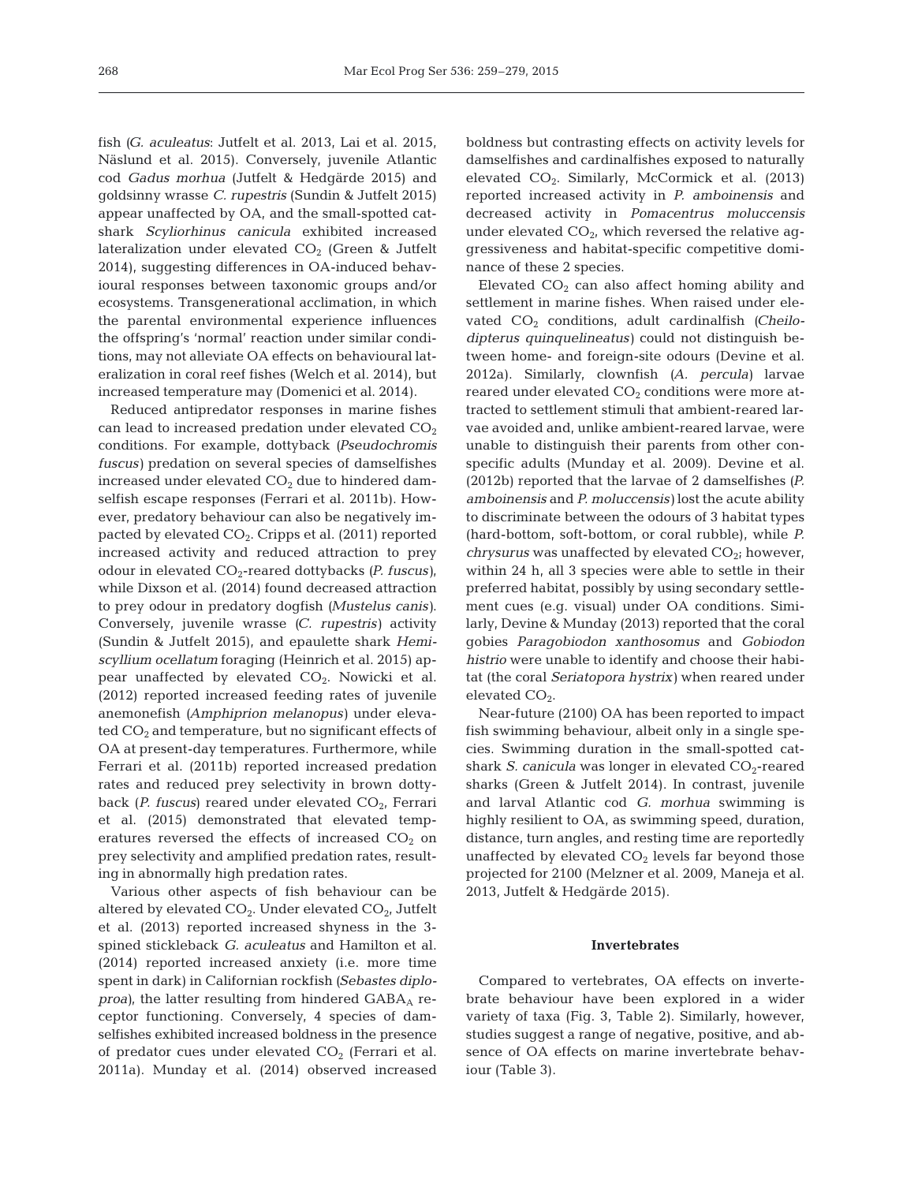fish *(G. aculeatus*: Jutfelt et al. 2013, Lai et al. 2015, Näslund et al. 2015). Conversely, juvenile Atlantic cod *Gadus morhua* (Jutfelt & Hedgärde 2015) and goldsinny wrasse *C. rupestris* (Sundin & Jutfelt 2015) appear unaffected by OA, and the small-spotted catshark *Scyliorhinus canicula* exhibited increased lateralization under elevated  $CO<sub>2</sub>$  (Green & Jutfelt 2014), suggesting differences in OA-induced behavioural responses between taxonomic groups and/or ecosystems. Transgenerational acclimation, in which the parental environmental experience influences the offspring's 'normal' reaction under similar conditions, may not alleviate OA effects on behavioural lateralization in coral reef fishes (Welch et al. 2014), but increased temperature may (Domenici et al. 2014).

Reduced antipredator responses in marine fishes can lead to increased predation under elevated  $CO<sub>2</sub>$ conditions. For example, dottyback *(Pseudochromis fuscus)* predation on several species of damselfishes increased under elevated  $CO<sub>2</sub>$  due to hindered damselfish escape responses (Ferrari et al. 2011b). However, predatory behaviour can also be negatively impacted by elevated CO<sub>2</sub>. Cripps et al. (2011) reported increased activity and reduced attraction to prey odour in elevated CO2-reared dottybacks *(P. fuscus)*, while Dixson et al. (2014) found decreased attraction to prey odour in predatory dogfish *(Mustelus canis)*. Conversely, juvenile wrasse *(C. rupestris)* activity (Sundin & Jutfelt 2015), and epaulette shark *Hemiscyllium ocellatum* foraging (Heinrich et al. 2015) appear unaffected by elevated CO<sub>2</sub>. Nowicki et al. (2012) reported increased feeding rates of juvenile anemonefish *(Amphiprion melanopus)* under eleva ted  $CO<sub>2</sub>$  and temperature, but no significant effects of OA at present-day temperatures. Furthermore, while Ferrari et al. (2011b) reported increased predation rates and reduced prey selectivity in brown dottyback (*P. fuscus*) reared under elevated CO<sub>2</sub>, Ferrari et al. (2015) demonstrated that elevated temperatures reversed the effects of increased  $CO<sub>2</sub>$  on prey selectivity and amplified predation rates, resulting in abnormally high predation rates.

Various other aspects of fish behaviour can be altered by elevated  $CO<sub>2</sub>$ . Under elevated  $CO<sub>2</sub>$ , Jutfelt et al. (2013) reported increased shyness in the 3 spined stickleback *G. aculeatus* and Hamilton et al. (2014) reported increased anxiety (i.e. more time spent in dark) in Californian rockfish *(Sebastes diploproa*), the latter resulting from hindered  $GABA_A$  receptor functioning. Conversely, 4 species of damselfishes exhibited increased boldness in the presence of predator cues under elevated  $CO<sub>2</sub>$  (Ferrari et al. 2011a). Munday et al. (2014) observed increased boldness but contrasting effects on activity levels for damselfishes and cardinalfishes exposed to naturally elevated  $CO<sub>2</sub>$ . Similarly, McCormick et al. (2013) reported increased activity in *P. amboinensis* and decreased activity in *Pomacentrus moluccensis* under elevated  $CO<sub>2</sub>$ , which reversed the relative aggressiveness and habitat-specific competitive dominance of these 2 species.

Elevated  $CO<sub>2</sub>$  can also affect homing ability and settlement in marine fishes. When raised under elevated CO<sub>2</sub> conditions, adult cardinalfish *(Cheilodipterus quinquelineatus)* could not distinguish be tween home- and foreign-site odours (Devine et al. 2012a). Similarly, clownfish *(A. percula)* larvae reared under elevated  $CO<sub>2</sub>$  conditions were more attracted to settlement stimuli that ambient-reared larvae avoided and, unlike ambient-reared larvae, were unable to distinguish their parents from other conspecific adults (Munday et al. 2009). Devine et al. (2012b) reported that the larvae of 2 damselfishes *(P. amboinensis* and *P. moluccensis)* lost the acute ability to discriminate between the odours of 3 habitat types (hard-bottom, soft-bottom, or coral rubble), while *P. chrysurus* was unaffected by elevated  $CO_{2i}$  however, within 24 h, all 3 species were able to settle in their preferred habitat, possibly by using secondary settlement cues (e.g. visual) under OA conditions. Similarly, Devine & Munday (2013) reported that the coral gobies *Paragobiodon xanthosomus* and *Gobiodon histrio* were unable to identify and choose their habitat (the coral *Seriatopora hystrix)* when reared under elevated  $CO<sub>2</sub>$ .

Near-future (2100) OA has been reported to impact fish swimming behaviour, albeit only in a single species. Swimming duration in the small-spotted catshark *S. canicula* was longer in elevated  $CO_2$ -reared sharks (Green & Jutfelt 2014). In contrast, juvenile and larval Atlantic cod *G. morhua* swimming is highly resilient to OA, as swimming speed, duration, distance, turn angles, and resting time are reportedly unaffected by elevated  $CO<sub>2</sub>$  levels far beyond those projected for 2100 (Melzner et al. 2009, Maneja et al. 2013, Jutfelt & Hedgärde 2015).

#### **Invertebrates**

Compared to vertebrates, OA effects on invertebrate behaviour have been explored in a wider variety of taxa (Fig. 3, Table 2). Similarly, however, studies suggest a range of negative, positive, and ab sence of OA effects on marine invertebrate behaviour (Table 3).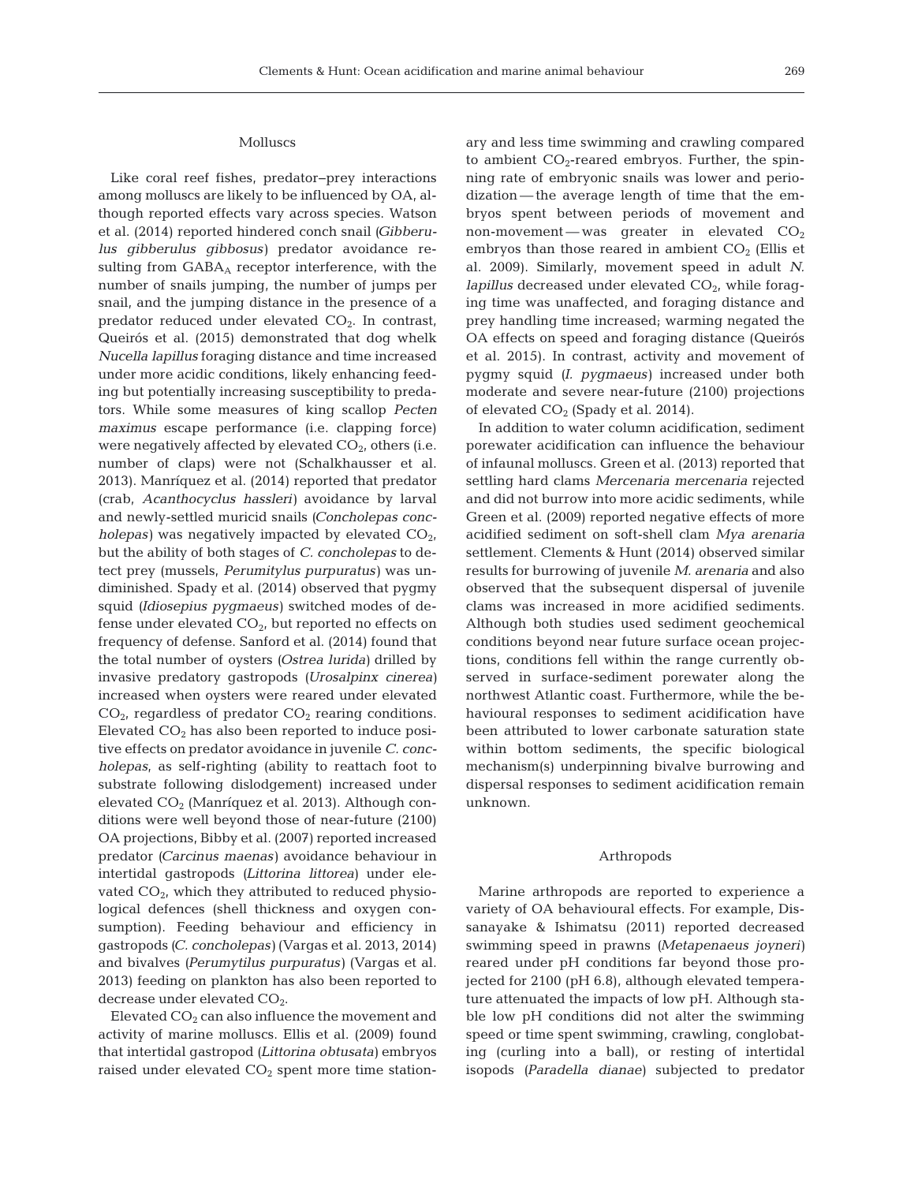## Molluscs

Like coral reef fishes, predator−prey interactions among molluscs are likely to be influenced by OA, although reported effects vary across species. Watson et al. (2014) reported hindered conch snail *(Gibberulus gibberulus gibbosus*) predator avoidance resulting from  $GABA_A$  receptor interference, with the number of snails jumping, the number of jumps per snail, and the jumping distance in the presence of a predator reduced under elevated  $CO<sub>2</sub>$ . In contrast, Queirós et al. (2015) demonstrated that dog whelk *Nucella lapillus* foraging distance and time increased under more acidic conditions, likely enhancing feeding but potentially increasing susceptibility to predators. While some measures of king scallop *Pecten maximus* escape performance (i.e. clapping force) were negatively affected by elevated  $CO<sub>2</sub>$ , others (i.e. number of claps) were not (Schalkhausser et al. 2013). Manríquez et al. (2014) reported that predator (crab, *Acanthocyclus hassleri)* avoidance by larval and newly-settled muricid snails *(Concholepas concholepas*) was negatively impacted by elevated  $CO<sub>2</sub>$ , but the ability of both stages of *C. concholepas* to detect prey (mussels, *Perumitylus purpuratus)* was un diminished. Spady et al. (2014) observed that pygmy squid *(Idiosepius pygmaeus)* switched modes of defense under elevated  $CO<sub>2</sub>$ , but reported no effects on frequency of defense. Sanford et al. (2014) found that the total number of oysters *(Ostrea lurida)* drilled by invasive predatory gastro pods *(Urosalpinx cinerea)* increased when oysters were reared under elevated  $CO<sub>2</sub>$ , regardless of predator  $CO<sub>2</sub>$  rearing conditions. Elevated  $CO<sub>2</sub>$  has also been reported to induce positive effects on predator avoidance in juvenile *C. concholepas*, as self-righting (ability to reattach foot to substrate following dislodgement) increased under elevated  $CO<sub>2</sub>$  (Manríquez et al. 2013). Although conditions were well beyond those of near-future (2100) OA projections, Bibby et al. (2007) reported increased predator *(Carcinus maenas)* avoidance behaviour in intertidal gastro pods *(Littorina littorea)* under elevated  $CO<sub>2</sub>$ , which they attributed to reduced physiological defences (shell thickness and oxygen consumption). Feeding behaviour and efficiency in gastropods *(C. conchole pas)* (Vargas et al. 2013, 2014) and bivalves *(Perumytilus purpuratus)* (Vargas et al. 2013) feeding on plankton has also been reported to decrease under elevated CO<sub>2</sub>.

Elevated  $CO<sub>2</sub>$  can also influence the movement and activity of marine molluscs. Ellis et al. (2009) found that intertidal gastropod *(Littorina obtusata)* embryos raised under elevated CO<sub>2</sub> spent more time stationary and less time swimming and crawling compared to ambient  $CO_2$ -reared embryos. Further, the spinning rate of embryonic snails was lower and periodization— the average length of time that the em bryos spent between periods of movement and non-movement—was greater in elevated  $CO<sub>2</sub>$ embryos than those reared in ambient  $CO<sub>2</sub>$  (Ellis et al. 2009). Similarly, movement speed in adult *N. lapillus* decreased under elevated CO<sub>2</sub>, while foraging time was unaffected, and foraging distance and prey handling time increased; warming negated the OA effects on speed and foraging distance (Queirós et al. 2015). In contrast, activity and movement of pygmy squid *(I. pygmaeus)* increased under both moderate and severe near-future (2100) projections of elevated  $CO<sub>2</sub>$  (Spady et al. 2014).

In addition to water column acidification, sediment porewater acidification can influence the behaviour of infaunal molluscs. Green et al. (2013) reported that settling hard clams *Mercenaria mercenaria* rejected and did not burrow into more acidic sediments, while Green et al. (2009) reported negative effects of more acidified sediment on soft-shell clam *Mya arenaria* settlement. Clements & Hunt (2014) observed similar results for burrowing of juvenile *M. arenaria* and also observed that the subsequent dispersal of juvenile clams was increased in more acidified sediments. Although both studies used sediment geochemical conditions beyond near future surface ocean projections, conditions fell within the range currently ob served in surface-sediment porewater along the north west Atlantic coast. Furthermore, while the be havioural responses to sediment acidification have been attributed to lower carbonate saturation state within bottom sediments, the specific biological mechanism(s) underpinning bivalve burrowing and dispersal responses to sediment acidification remain unknown.

#### Arthropods

Marine arthropods are reported to experience a variety of OA behavioural effects. For example, Dissa nayake & Ishimatsu (2011) reported decreased swimming speed in prawns *(Metapenaeus joyneri)* reared under pH conditions far beyond those projected for 2100 (pH 6.8), although elevated temperature attenuated the impacts of low pH. Although stable low pH conditions did not alter the swimming speed or time spent swimming, crawling, conglobating (curling into a ball), or resting of intertidal isopods *(Paradella dianae)* subjected to predator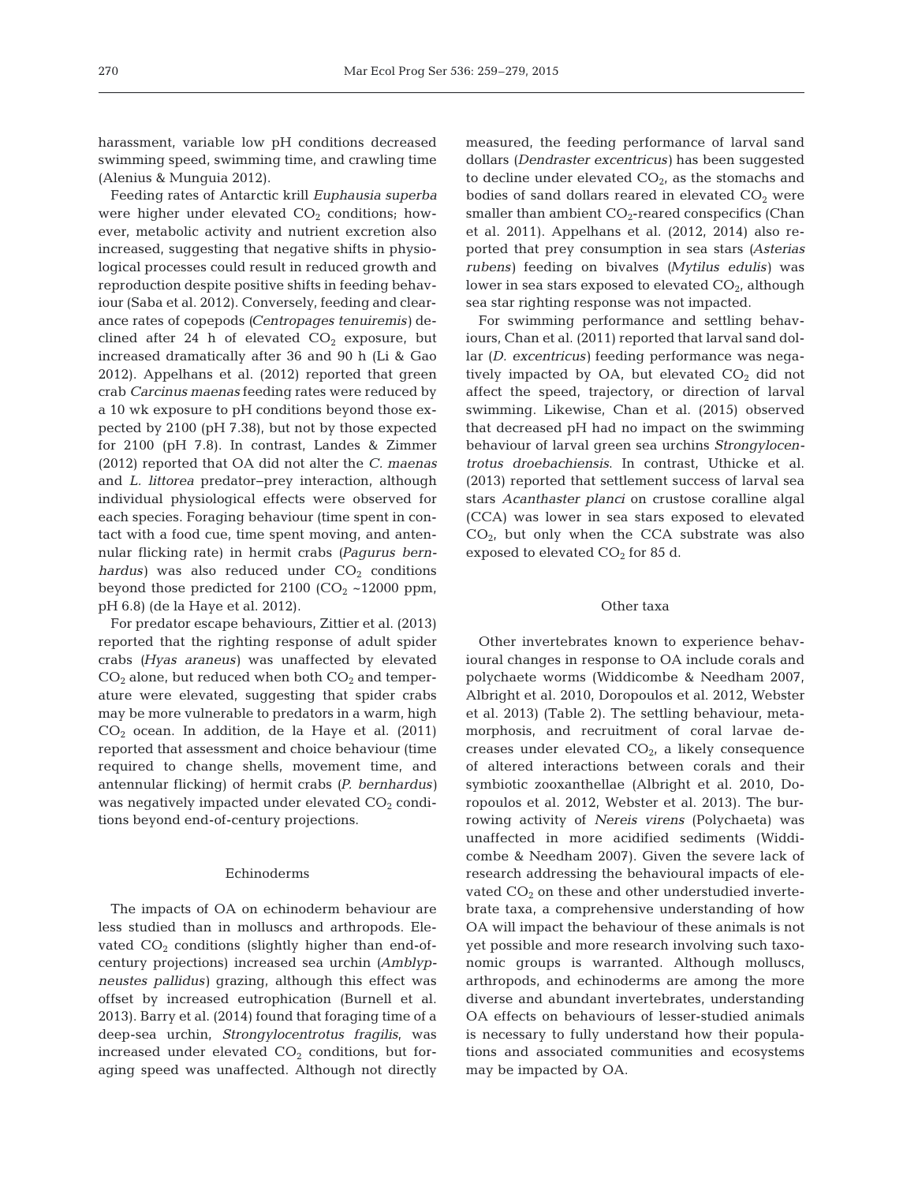harassment, variable low pH conditions decreased swimming speed, swimming time, and crawling time (Alenius & Munguia 2012).

Feeding rates of Antarctic krill *Euphausia superba* were higher under elevated  $CO<sub>2</sub>$  conditions; however, metabolic activity and nutrient excretion also increased, suggesting that negative shifts in physiological processes could result in reduced growth and reproduction despite positive shifts in feeding behaviour (Saba et al. 2012). Conversely, feeding and clearance rates of copepods *(Centropages tenuiremis)* de clined after 24 h of elevated  $CO<sub>2</sub>$  exposure, but in creased dramatically after 36 and 90 h (Li & Gao 2012). Appelhans et al. (2012) reported that green crab *Carcinus maenas* feeding rates were reduced by a 10 wk exposure to pH conditions beyond those ex pected by 2100 (pH 7.38), but not by those expected for 2100 (pH 7.8). In contrast, Landes & Zimmer (2012) reported that OA did not alter the *C. maenas* and *L. littorea* predator−prey interaction, although individual physiological effects were observed for each species. Foraging behaviour (time spent in contact with a food cue, time spent moving, and antennular flicking rate) in hermit crabs (Pagurus bern $hardus$ ) was also reduced under  $CO<sub>2</sub>$  conditions beyond those predicted for 2100 ( $CO<sub>2</sub>$  ~12000 ppm, pH 6.8) (de la Haye et al. 2012).

For predator escape behaviours, Zittier et al. (2013) reported that the righting response of adult spider crabs *(Hyas araneus)* was unaffected by elevated  $CO<sub>2</sub>$  alone, but reduced when both  $CO<sub>2</sub>$  and temperature were elevated, suggesting that spider crabs may be more vulnerable to predators in a warm, high  $CO<sub>2</sub>$  ocean. In addition, de la Haye et al. (2011) reported that assessment and choice behaviour (time required to change shells, movement time, and antennular flicking) of hermit crabs *(P. bernhardus)* was negatively impacted under elevated  $CO<sub>2</sub>$  conditions beyond end-of-century projections.

#### Echinoderms

The impacts of OA on echinoderm behaviour are less studied than in molluscs and arthropods. Elevated  $CO<sub>2</sub>$  conditions (slightly higher than end-ofcentury projections) increased sea urchin *(Amblypneustes pallidus)* grazing, although this effect was offset by increased eutrophication (Burnell et al. 2013). Barry et al. (2014) found that foraging time of a deep-sea urchin, *Strongylocentrotus fragilis*, was increased under elevated  $CO<sub>2</sub>$  conditions, but foraging speed was unaffected. Although not directly measured, the feeding performance of larval sand dollars *(Dendraster excentricus)* has been suggested to decline under elevated  $CO<sub>2</sub>$ , as the stomachs and bodies of sand dollars reared in elevated  $CO<sub>2</sub>$  were smaller than ambient  $CO<sub>2</sub>$ -reared conspecifics (Chan et al. 2011). Appelhans et al. (2012, 2014) also re ported that prey consumption in sea stars *(Asterias rubens)* feeding on bivalves *(Mytilus edulis)* was lower in sea stars exposed to elevated  $CO<sub>2</sub>$ , although sea star righting response was not impacted.

For swimming performance and settling behaviours, Chan et al. (2011) reported that larval sand dollar *(D. excentricus)* feeding performance was negatively impacted by OA, but elevated  $CO<sub>2</sub>$  did not affect the speed, trajectory, or direction of larval swimming. Likewise, Chan et al. (2015) observed that decreased pH had no impact on the swimming behaviour of larval green sea urchins *Strongylocentrotus droebachiensis*. In contrast, Uthicke et al. (2013) reported that settlement success of larval sea stars *Acanthaster planci* on crustose coralline algal (CCA) was lower in sea stars exposed to elevated  $CO<sub>2</sub>$ , but only when the CCA substrate was also exposed to elevated  $CO<sub>2</sub>$  for 85 d.

#### Other taxa

Other invertebrates known to experience behavioural changes in response to OA include corals and polychaete worms (Widdicombe & Needham 2007, Albright et al. 2010, Doropoulos et al. 2012, Webster et al. 2013) (Table 2). The settling behaviour, meta morphosis, and recruitment of coral larvae decreases under elevated  $CO<sub>2</sub>$ , a likely consequence of altered interactions between corals and their symbiotic zooxanthellae (Albright et al. 2010, Doropoulos et al. 2012, Webster et al. 2013). The burrowing activity of *Nereis virens* (Polychaeta) was unaffected in more acidified sediments (Widdicombe & Needham 2007). Given the severe lack of research addressing the behavioural impacts of elevated  $CO<sub>2</sub>$  on these and other understudied invertebrate taxa, a comprehensive understanding of how OA will impact the behaviour of these animals is not yet possible and more research involving such taxonomic groups is warranted. Although molluscs, arthropods, and echinoderms are among the more diverse and abundant invertebrates, understanding OA effects on behaviours of lesser-studied animals is necessary to fully understand how their populations and associated communities and ecosystems may be impacted by OA.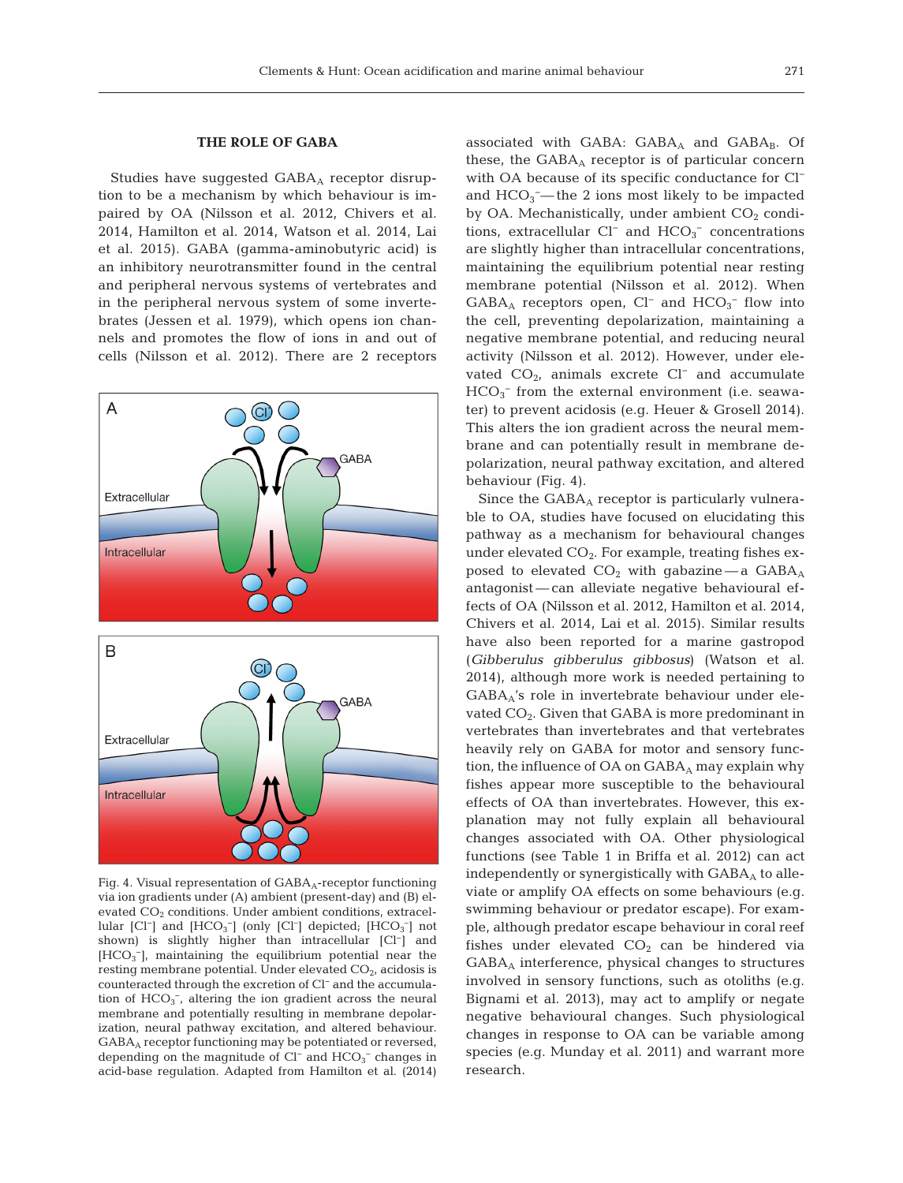#### **THE ROLE OF GABA**

Studies have suggested  $GABA_A$  receptor disruption to be a mechanism by which behaviour is im paired by OA (Nilsson et al. 2012, Chivers et al. 2014, Hamilton et al. 2014, Watson et al. 2014, Lai et al. 2015). GABA (gamma-aminobutyric acid) is an inhibitory neurotransmitter found in the central and peripheral nervous systems of vertebrates and in the peripheral nervous system of some invertebrates (Jessen et al. 1979), which opens ion channels and promotes the flow of ions in and out of cells (Nilsson et al. 2012). There are 2 receptors



Fig. 4. Visual representation of GABA<sub>A</sub>-receptor functioning via ion gradients under (A) ambient (present-day) and (B) elevated  $CO<sub>2</sub>$  conditions. Under ambient conditions, extracellular [Cl<sup>-</sup>] and [HCO<sub>3</sub><sup>-</sup>] (only [Cl<sup>-</sup>] depicted; [HCO<sub>3</sub><sup>-</sup>] not shown) is slightly higher than intracellular [Cl−] and [HCO<sub>3</sub><sup>-</sup>], maintaining the equilibrium potential near the resting membrane potential. Under elevated  $CO<sub>2</sub>$ , acidosis is counteracted through the excretion of Cl− and the accumulation of  $HCO<sub>3</sub><sup>-</sup>$ , altering the ion gradient across the neural membrane and potentially resulting in membrane depolarization, neural pathway excitation, and altered behaviour. GABAA receptor functioning may be potentiated or reversed, depending on the magnitude of Cl<sup>−</sup> and HCO<sub>3</sub><sup>−</sup> changes in acid-base regulation. Adapted from Hamilton et al. (2014)

associated with GABA:  $GABA$ <sub>A</sub> and  $GABA$ <sub>B</sub>. Of these, the  $GABA_A$  receptor is of particular concern with OA because of its specific conductance for Cl<sup>−</sup> and  $HCO<sub>3</sub>$  – the 2 ions most likely to be impacted by OA. Mechanistically, under ambient  $CO<sub>2</sub>$  conditions, extracellular  $Cl^-$  and  $HCO_3^-$  concentrations are slightly higher than intracellular concentrations, maintaining the equilibrium potential near resting membrane potential (Nilsson et al. 2012). When  $GABA_A$  receptors open, Cl<sup>−</sup> and HCO<sub>3</sub><sup>−</sup> flow into the cell, preventing depolarization, maintaining a negative membrane potential, and reducing neural activity (Nilsson et al. 2012). However, under elevated  $CO<sub>2</sub>$ , animals excrete Cl<sup>−</sup> and accumulate  $HCO<sub>3</sub><sup>-</sup>$  from the external environment (i.e. seawater) to prevent acidosis (e.g. Heuer & Grosell 2014). This alters the ion gradient across the neural membrane and can potentially result in membrane depolarization, neural pathway excitation, and altered behaviour (Fig. 4).

Since the  $GABA_A$  receptor is particularly vulnerable to OA, studies have focused on elucidating this pathway as a mechanism for behavioural changes under elevated  $CO<sub>2</sub>$ . For example, treating fishes exposed to elevated  $CO<sub>2</sub>$  with gabazine — a  $GABA_A$ antagonist— can alleviate negative behavioural ef fects of OA (Nilsson et al. 2012, Hamilton et al. 2014, Chivers et al. 2014, Lai et al. 2015). Similar results have also been reported for a marine gastropod (*Gibbe rulus gibberulus gibbosus*) (Watson et al. 2014), although more work is needed pertaining to  $GABA_A$ 's role in invertebrate behaviour under elevated  $CO<sub>2</sub>$ . Given that GABA is more predominant in vertebrates than invertebrates and that vertebrates heavily rely on GABA for motor and sensory function, the influence of  $OA$  on  $GABA_A$  may explain why fishes appear more susceptible to the behavioural effects of OA than invertebrates. However, this explanation may not fully explain all behavioural changes associated with OA. Other physiological functions (see Table 1 in Briffa et al. 2012) can act independently or synergistically with  $GABA_A$  to alleviate or amplify OA effects on some behaviours (e.g. swimming behaviour or predator escape). For example, although predator escape behaviour in coral reef fishes under elevated  $CO<sub>2</sub>$  can be hindered via  $GABA_A$  interference, physical changes to structures involved in sensory functions, such as otoliths (e.g. Bignami et al. 2013), may act to amplify or negate negative behavioural changes. Such physiological changes in response to OA can be variable among species (e.g. Munday et al. 2011) and warrant more research.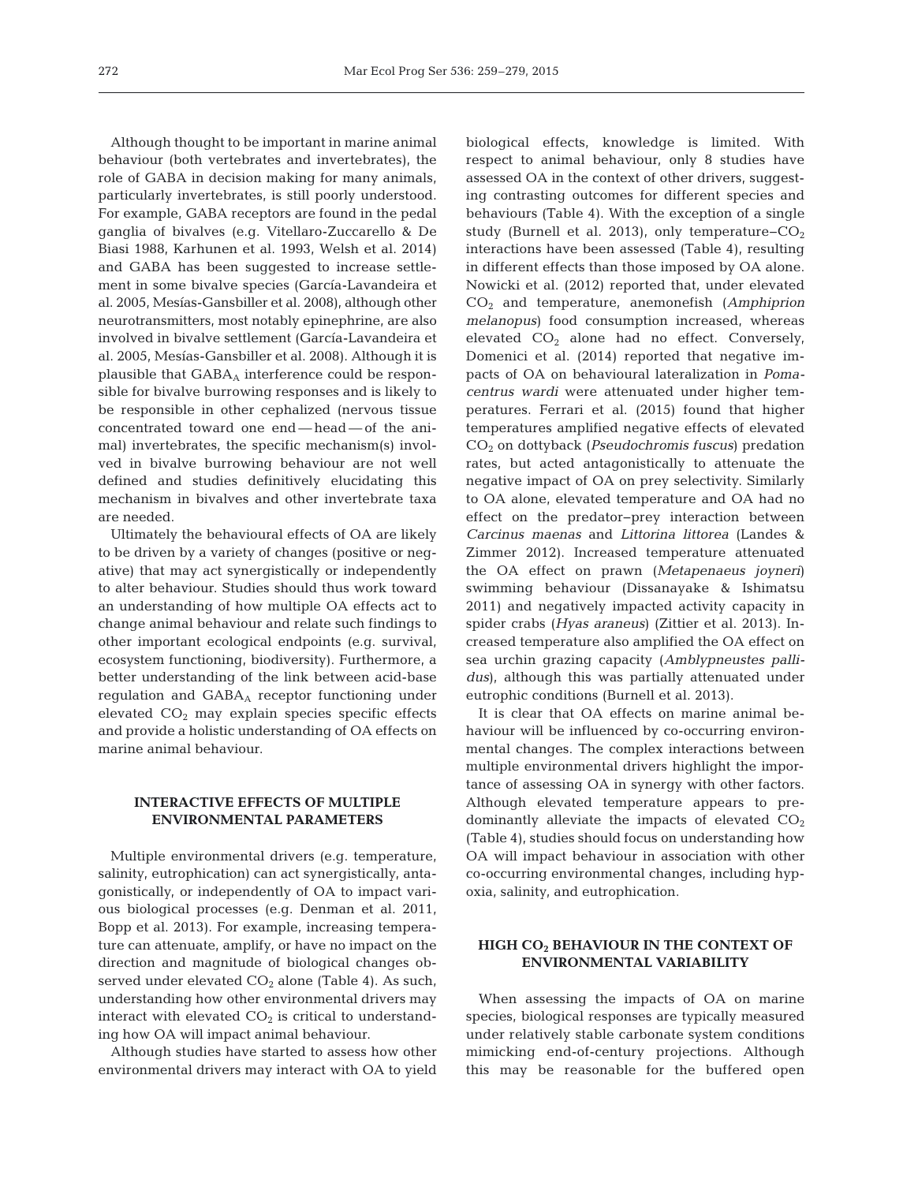Although thought to be important in marine animal behaviour (both vertebrates and invertebrates), the role of GABA in decision making for many animals, particularly invertebrates, is still poorly understood. For example, GABA receptors are found in the pedal ganglia of bivalves (e.g. Vitellaro-Zuccarello & De Biasi 1988, Karhunen et al. 1993, Welsh et al. 2014) and GABA has been suggested to increase settlement in some bivalve species (García-Lavandeira et al. 2005, Mesías-Gansbiller et al. 2008), although other neurotransmitters, most notably epinephrine, are also in volved in bivalve settlement (García-Lavandeira et al. 2005, Mesías-Gansbiller et al. 2008). Although it is plausible that  $GABA_A$  interference could be responsible for bivalve burrowing responses and is likely to be responsible in other cephalized (nervous tissue concentrated toward one end— head— of the animal) invertebrates, the specific mechanism(s) involved in bivalve burrowing behaviour are not well defined and studies definitively elucidating this mechanism in bivalves and other invertebrate taxa are needed.

Ultimately the behavioural effects of OA are likely to be driven by a variety of changes (positive or negative) that may act synergistically or independently to alter behaviour. Studies should thus work toward an understanding of how multiple OA effects act to change animal behaviour and relate such findings to other important ecological endpoints (e.g. survival, ecosystem functioning, biodiversity). Furthermore, a better understanding of the link between acid-base regulation and GABA<sub>A</sub> receptor functioning under elevated  $CO<sub>2</sub>$  may explain species specific effects and provide a holistic understanding of OA effects on marine animal behaviour.

## **INTERACTIVE EFFECTS OF MULTIPLE ENVIRONMENTAL PARAMETERS**

Multiple environmental drivers (e.g. temperature, salinity, eutrophication) can act synergistically, antagonistically, or independently of OA to impact various biological processes (e.g. Denman et al. 2011, Bopp et al. 2013). For example, increasing temperature can attenuate, amplify, or have no impact on the direction and magnitude of biological changes ob served under elevated  $CO<sub>2</sub>$  alone (Table 4). As such, understanding how other environmental drivers may interact with elevated  $CO<sub>2</sub>$  is critical to understanding how OA will impact animal behaviour.

Although studies have started to assess how other environmental drivers may interact with OA to yield

biological effects, knowledge is limited. With respect to animal behaviour, only 8 studies have assessed OA in the context of other drivers, suggesting contrasting outcomes for different species and behaviours (Table 4). With the exception of a single study (Burnell et al. 2013), only temperature– $CO<sub>2</sub>$ interactions have been assessed (Table 4), resulting in different effects than those imposed by OA alone. Nowicki et al. (2012) reported that, under elevated CO2 and temperature, anemonefish (*Amphiprion melanopus*) food consumption increased, whereas elevated  $CO<sub>2</sub>$  alone had no effect. Conversely, Domenici et al. (2014) reported that negative impacts of OA on behavioural lateralization in *Pomacentrus wardi* were attenuated under higher temperatures. Ferrari et al. (2015) found that higher temperatures amplified negative effects of elevated CO2 on dottyback (*Pseudochromis fuscus*) predation rates, but acted antagonistically to attenuate the negative impact of OA on prey selectivity. Similarly to OA alone, elevated temperature and OA had no effect on the predator−prey interaction between *Carcinus maenas* and *Littorina littorea* (Landes & Zimmer 2012). Increased temperature attenuated the OA effect on prawn (*Metapenaeus joyneri*) swimming behaviour (Dissanayake & Ishimatsu 2011) and negatively impacted activity capacity in spider crabs (*Hyas araneus*) (Zittier et al. 2013). In creased temperature also amplified the OA effect on sea urchin grazing capacity (*Amblypneustes pallidus*), although this was partially attenuated under eutrophic conditions (Burnell et al. 2013).

It is clear that OA effects on marine animal be haviour will be influenced by co-occurring environmental changes. The complex interactions between multiple environmental drivers highlight the importance of assessing OA in synergy with other factors. Although elevated temperature appears to predominantly alleviate the impacts of elevated  $CO<sub>2</sub>$ (Table 4), studies should focus on understanding how OA will impact behaviour in association with other co-occurring environmental changes, including hyp oxia, salinity, and eutrophication.

## **HIGH CO2 BEHAVIOUR IN THE CONTEXT OF ENVIRONMENTAL VARIABILITY**

When assessing the impacts of OA on marine species, biological responses are typically measured under relatively stable carbonate system conditions mimicking end-of-century projections. Although this may be reasonable for the buffered open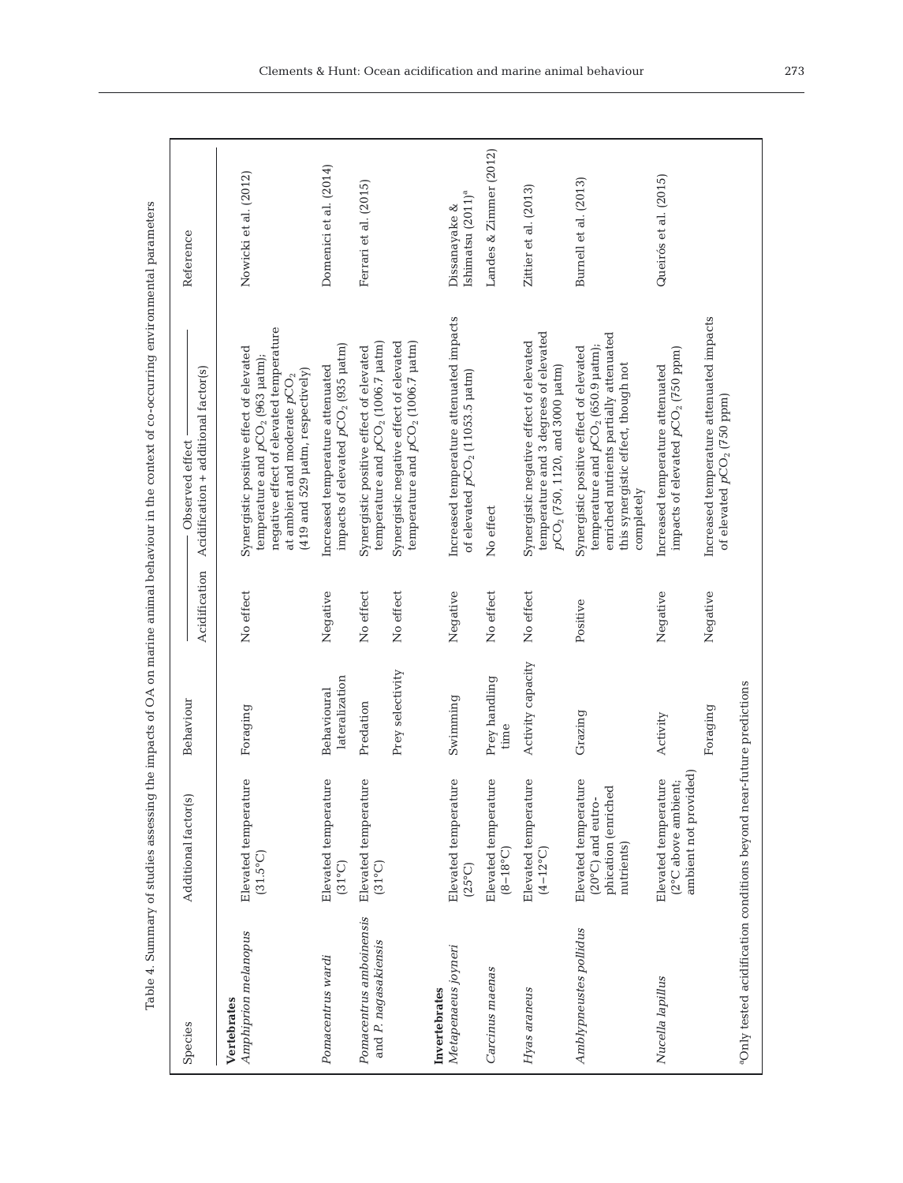| Species                                                              | Additional factor(s)                                                                    | Behaviour                     |               | Observed effect                                                                                                                                                                                           | Reference                                      |
|----------------------------------------------------------------------|-----------------------------------------------------------------------------------------|-------------------------------|---------------|-----------------------------------------------------------------------------------------------------------------------------------------------------------------------------------------------------------|------------------------------------------------|
|                                                                      |                                                                                         |                               | Acidification | Acidification + additional factor(s)                                                                                                                                                                      |                                                |
| Amphiprion melanopus<br>Vertebrates                                  | Elevated temperature<br>$(31.5^{\circ}C)$                                               | Foraging                      | No effect     | negative effect of elevated temperature<br>Synergistic positive effect of elevated<br>temperature and $pCO2$ (963 µatm);<br>(419 and 529 µatm, respectively)<br>at ambient and moderate $p \mathrm{CO}_2$ | Nowicki et al. (2012)                          |
| Pomacentrus wardi                                                    | بُ<br>Elevated temperatur<br>$(31^{\circ}C)$                                            | lateralization<br>Behavioural | Negative      | impacts of elevated $pCO2$ (935 µatm)<br>Increased temperature attenuated                                                                                                                                 | Domenici et al. (2014)                         |
| Pomacentrus amboinensis<br>and P. nagasakiensis                      | Elevated temperature<br>$(31^{\circ}C)$                                                 | Predation                     | No effect     | temperature and $pCO2$ (1006.7 µatm)<br>Synergistic positive effect of elevated                                                                                                                           | Ferrari et al. (2015)                          |
|                                                                      |                                                                                         | Prey selectivity              | No effect     | Synergistic negative effect of elevated<br>temperature and $pCO2$ (1006.7 µatm)                                                                                                                           |                                                |
| Invertebrates                                                        |                                                                                         |                               |               |                                                                                                                                                                                                           |                                                |
| Metapenaeus joyneri                                                  | Ö<br>Elevated temperatur<br>$(25^{\circ}C)$                                             | Swimming                      | Negative      | Increased temperature attenuated impacts<br>of elevated $p\text{CO}_2$ (11053.5 $\mu\text{atm})$                                                                                                          | Ishimatsu (2011) <sup>ª</sup><br>Dissanayake & |
| Carcinus maenas                                                      | Elevated temperature<br>$(8-18^{\circ}C)$                                               | Prey handling<br>time         | No effect     | No effect                                                                                                                                                                                                 | Landes & Zimmer (2012)                         |
| Hyas araneus                                                         | ٥<br>Elevated temperatur<br>$(4 - 12^{\circ}C)$                                         | Activity capacity             | No effect     | temperature and 3 degrees of elevated<br>Synergistic negative effect of elevated<br>$pCO_2$ (750, 1120, and 3000 $\mu \rm{atm}$ )                                                                         | Zittier et al. (2013)                          |
| Amblypneustes pollidus                                               | Elevated temperature<br>phication (enriched<br>$(20^{\circ}C)$ and eutro-<br>nutrients) | Grazing                       | Positive      | enriched nutrients partially attenuated<br>temperature and $pCO_2$ (650.9 $\mu$ atm);<br>Synergistic positive effect of elevated<br>this synergistic effect, though not<br>completely                     | Burnell et al. (2013)                          |
| Nucella lapillus                                                     | ambient not provided)<br>Elevated temperature<br>(2°C above ambient;                    | Activity                      | Negative      | impacts of elevated pCO <sub>2</sub> (750 ppm)<br>Increased temperature attenuated                                                                                                                        | Queirós et al. (2015)                          |
|                                                                      |                                                                                         | Foraging                      | Negative      | Increased temperature attenuated impacts<br>of elevated $pCO_2$ (750 ppm)                                                                                                                                 |                                                |
| aOnly tested acidification conditions beyond near-future predictions |                                                                                         |                               |               |                                                                                                                                                                                                           |                                                |

Table 4. Summary of studies assessing the impacts of OA on marine animal behaviour in the context of co-occurring environmental parameters Table 4. Summary of studies assessing the impacts of OA on marine animal behaviour in the context of co-occurring environmental parameters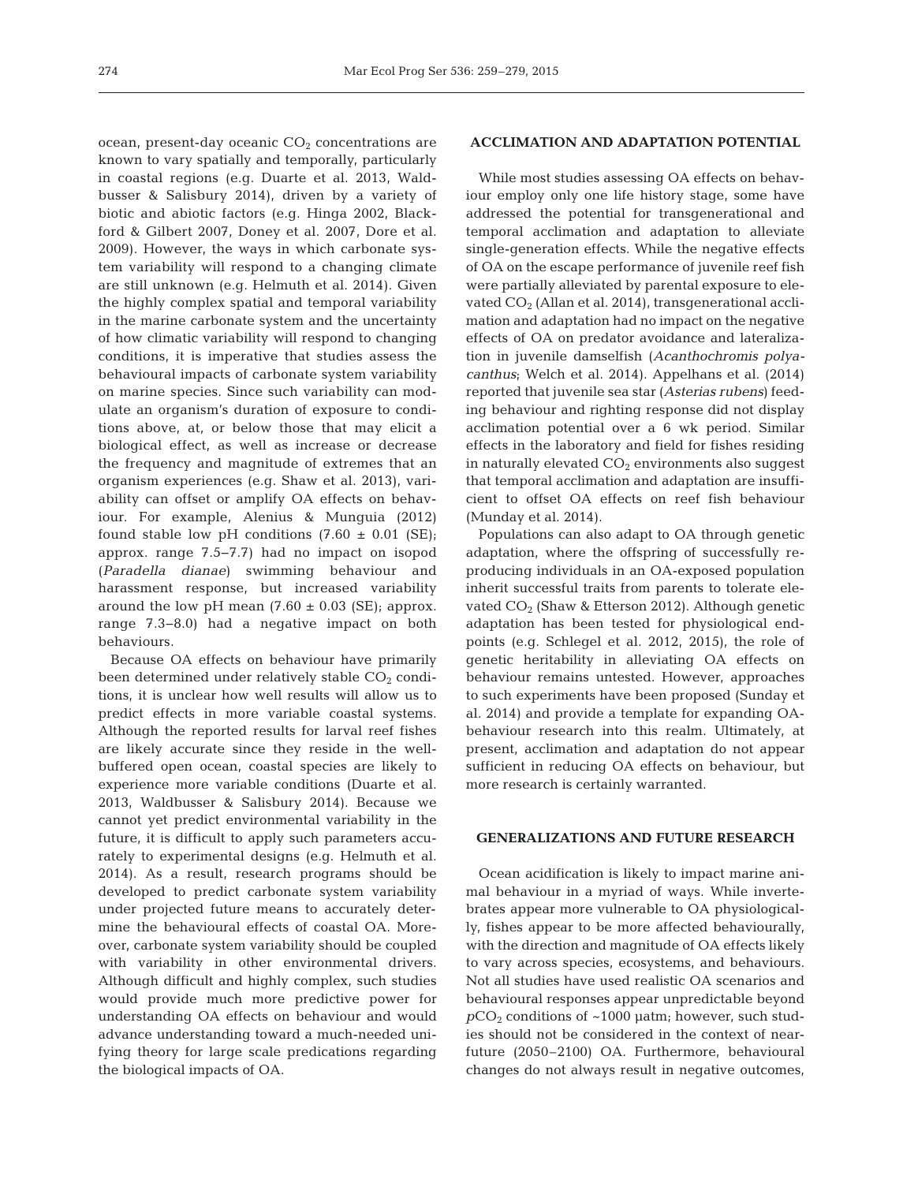ocean, present-day oceanic  $CO<sub>2</sub>$  concentrations are known to vary spatially and temporally, particularly in coastal regions (e.g. Duarte et al. 2013, Waldbusser & Salisbury 2014), driven by a variety of biotic and abiotic factors (e.g. Hinga 2002, Blackford & Gilbert 2007, Doney et al. 2007, Dore et al. 2009). However, the ways in which carbonate system variability will respond to a changing climate are still unknown (e.g. Helmuth et al. 2014). Given the highly complex spatial and temporal variability in the marine carbonate system and the uncertainty of how climatic variability will respond to changing conditions, it is imperative that studies assess the behavioural impacts of carbonate system variability on marine species. Since such variability can modulate an organism's duration of exposure to conditions above, at, or below those that may elicit a biological effect, as well as increase or decrease the frequency and magnitude of extremes that an organism experiences (e.g. Shaw et al. 2013), variability can offset or amplify OA effects on behaviour. For example, Alenius & Munguia (2012) found stable low pH conditions  $(7.60 \pm 0.01 \text{ (SE)})$ ; approx. range 7.5−7.7) had no impact on isopod (*Paradella dianae*) swimming behaviour and harassment response, but increased variability around the low pH mean  $(7.60 \pm 0.03 \text{ (SE)}$ ; approx. range 7.3− 8.0) had a negative impact on both behaviours.

Because OA effects on behaviour have primarily been determined under relatively stable  $CO<sub>2</sub>$  conditions, it is unclear how well results will allow us to predict effects in more variable coastal systems. Although the reported results for larval reef fishes are likely accurate since they reside in the wellbuffered open ocean, coastal species are likely to experience more variable conditions (Duarte et al. 2013, Waldbusser & Salisbury 2014). Because we cannot yet predict environmental variability in the future, it is difficult to apply such parameters accurately to experimental designs (e.g. Helmuth et al. 2014). As a result, research programs should be developed to predict carbonate system variability under projected future means to accurately determine the behavioural effects of coastal OA. Moreover, carbonate system variability should be coupled with variability in other environmental drivers. Although difficult and highly complex, such studies would provide much more predictive power for understanding OA effects on behaviour and would advance understanding toward a much-needed unifying theory for large scale predications regarding the biological impacts of OA.

## **ACCLIMATION AND ADAPTATION POTENTIAL**

While most studies assessing OA effects on behaviour employ only one life history stage, some have addressed the potential for transgenerational and temporal acclimation and adaptation to alleviate single-generation effects. While the negative effects of OA on the escape performance of juvenile reef fish were partially alleviated by parental exposure to elevated CO<sub>2</sub> (Allan et al. 2014), transgenerational acclimation and adaptation had no impact on the negative effects of OA on predator avoidance and lateralization in juvenile damselfish (*Acanthochromis polyacanthus*; Welch et al. 2014). Appelhans et al. (2014) reported that juvenile sea star (*Asterias rubens*) feeding behaviour and righting response did not display acclimation potential over a 6 wk period. Similar effects in the laboratory and field for fishes residing in naturally elevated  $CO<sub>2</sub>$  environments also suggest that temporal acclimation and adaptation are insufficient to offset OA effects on reef fish behaviour (Munday et al. 2014).

Populations can also adapt to OA through genetic adaptation, where the offspring of successfully re producing individuals in an OA-exposed population inherit successful traits from parents to tolerate elevated  $CO<sub>2</sub>$  (Shaw & Etterson 2012). Although genetic adaptation has been tested for physiological endpoints (e.g. Schlegel et al. 2012, 2015), the role of genetic heritability in alleviating OA effects on behaviour remains untested. However, approaches to such experiments have been proposed (Sunday et al. 2014) and provide a template for expanding OAbehaviour research into this realm. Ultimately, at present, acclimation and adaptation do not appear sufficient in reducing OA effects on behaviour, but more research is certainly warranted.

## **GENERALIZATIONS AND FUTURE RESEARCH**

Ocean acidification is likely to impact marine animal behaviour in a myriad of ways. While invertebrates appear more vulnerable to OA physiologically, fishes appear to be more affected behaviourally, with the direction and magnitude of OA effects likely to vary across species, ecosystems, and behaviours. Not all studies have used realistic OA scenarios and behavioural responses appear unpredictable beyond  $pCO<sub>2</sub>$  conditions of  $\sim$ 1000 µatm; however, such studies should not be considered in the context of nearfuture (2050–2100) OA. Furthermore, behavioural changes do not always result in negative outcomes,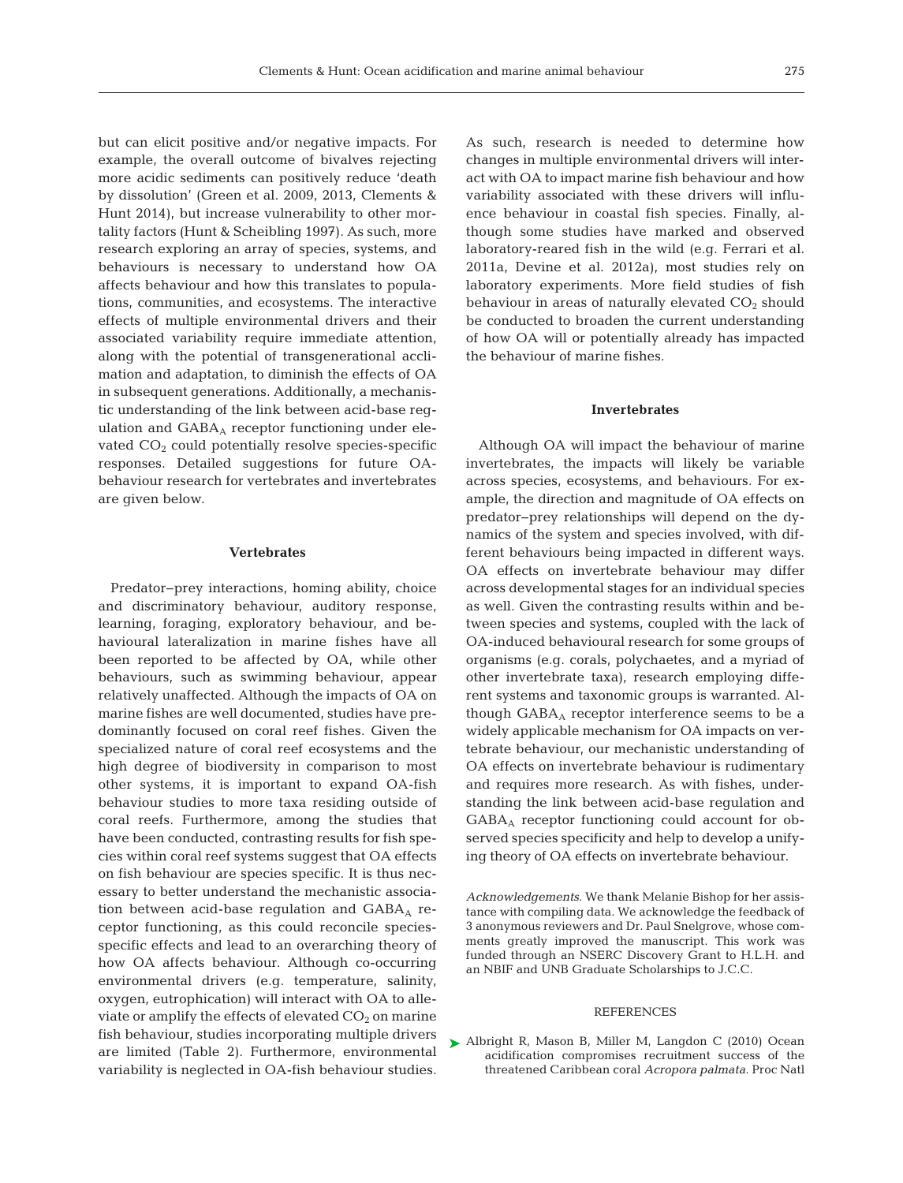but can elicit positive and/or negative impacts. For example, the overall outcome of bivalves rejecting more acidic sediments can positively reduce 'death by dissolution' (Green et al. 2009, 2013, Clements & Hunt 2014), but increase vulnerability to other mortality factors (Hunt & Scheibling 1997). As such, more research exploring an array of species, systems, and behaviours is necessary to understand how OA affects behaviour and how this translates to populations, communities, and ecosystems. The interactive effects of multiple environmental drivers and their associated variability require immediate attention, along with the potential of transgenerational acclimation and adaptation, to diminish the effects of OA in subsequent generations. Additionally, a mechanistic understanding of the link between acid-base regulation and GABAA receptor functioning under elevated  $CO<sub>2</sub>$  could potentially resolve species-specific responses. Detailed suggestions for future OAbehaviour research for vertebrates and invertebrates are given below.

#### **Vertebrates**

Predator−prey interactions, homing ability, choice and discriminatory behaviour, auditory response, learning, foraging, exploratory behaviour, and behavioural lateralization in marine fishes have all been reported to be affected by OA, while other behaviours, such as swimming behaviour, appear relatively unaffected. Although the impacts of OA on marine fishes are well documented, studies have predominantly focused on coral reef fishes. Given the specialized nature of coral reef ecosystems and the high degree of biodiversity in comparison to most other systems, it is important to expand OA-fish behaviour studies to more taxa residing outside of coral reefs. Furthermore, among the studies that have been conducted, contrasting results for fish species within coral reef systems suggest that OA effects on fish behaviour are species specific. It is thus necessary to better understand the mechanistic association between acid-base regulation and  $GABA_A$  receptor functioning, as this could reconcile speciesspecific effects and lead to an overarching theory of how OA affects behaviour. Although co-occurring environmental drivers (e.g. temperature, salinity, oxygen, eutrophication) will interact with OA to alleviate or amplify the effects of elevated  $CO<sub>2</sub>$  on marine fish behaviour, studies incorporating multiple drivers are limited (Table 2). Furthermore, environmental variability is neglected in OA-fish behaviour studies.

As such, research is needed to determine how changes in multiple environmental drivers will interact with OA to impact marine fish behaviour and how variability associated with these drivers will influence behaviour in coastal fish species. Finally, although some studies have marked and observed laboratory-reared fish in the wild (e.g. Ferrari et al. 2011a, Devine et al. 2012a), most studies rely on laboratory experiments. More field studies of fish behaviour in areas of naturally elevated  $CO<sub>2</sub>$  should be conducted to broaden the current understanding of how OA will or potentially already has impacted the behaviour of marine fishes.

#### **Invertebrates**

Although OA will impact the behaviour of marine invertebrates, the impacts will likely be variable across species, ecosystems, and behaviours. For example, the direction and magnitude of OA effects on predator−prey relationships will depend on the dynamics of the system and species involved, with different behaviours being impacted in different ways. OA effects on invertebrate behaviour may differ across developmental stages for an individual species as well. Given the contrasting results within and between species and systems, coupled with the lack of OA-induced behavioural research for some groups of organisms (e.g. corals, polychaetes, and a myriad of other invertebrate taxa), research employing different systems and taxonomic groups is warranted. Although  $GABA_A$  receptor interference seems to be a widely applicable mechanism for OA impacts on vertebrate behaviour, our mechanistic understanding of OA effects on invertebrate behaviour is rudimentary and requires more research. As with fishes, understanding the link between acid-base regulation and GABAA receptor functioning could account for observed species specificity and help to develop a unifying theory of OA effects on invertebrate behaviour.

*Acknowledgements*. We thank Melanie Bishop for her assistance with compiling data. We acknowledge the feedback of 3 anonymous reviewers and Dr. Paul Snelgrove, whose comments greatly improved the manuscript. This work was funded through an NSERC Discovery Grant to H.L.H. and an NBIF and UNB Graduate Scholarships to J.C.C.

#### REFERENCES

▶ [Albright R, Mason B, Miller M, Langdon C \(2010\) Ocean](http://dx.doi.org/10.1073/pnas.1007273107) acidification compromises recruitment success of the threatened Caribbean coral *Acropora palmata.* Proc Natl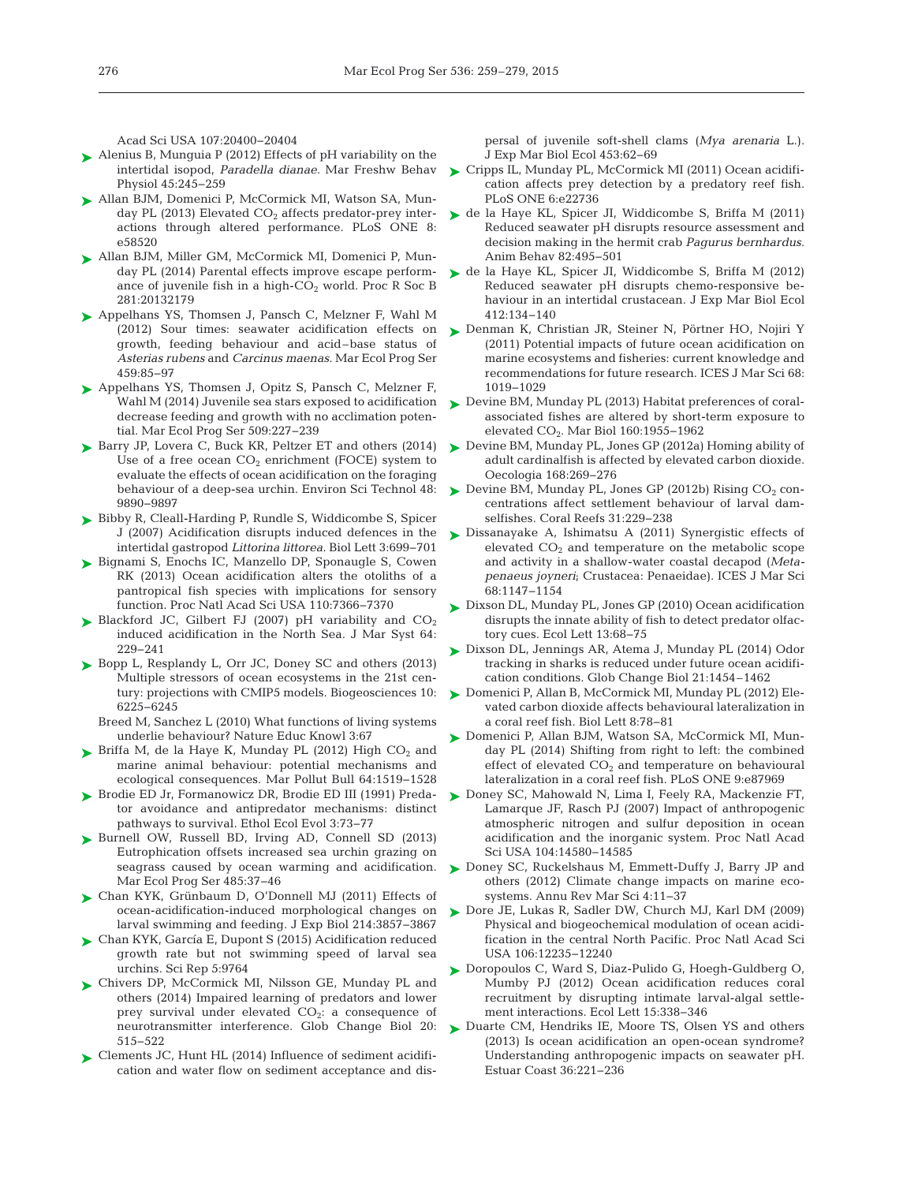Acad Sci USA 107:20400-20404

- ► [Alenius B, Munguia P \(2012\) Effects of pH variability on the](http://dx.doi.org/10.1080/10236244.2012.727235) intertidal isopod, *Paradella dianae.* Mar Freshw Behav Physiol 45: 245−259
- ► [Allan BJM, Domenici P, McCormick MI, Watson SA, Mun](http://dx.doi.org/10.1371/journal.pone.0058520)day PL (2013) Elevated  $CO<sub>2</sub>$  affects predator-prey interactions through altered performance. PLoS ONE 8: e58520
- ► [Allan BJM, Miller GM, McCormick MI, Domenici P, Mun](http://dx.doi.org/10.1098/rspb.2013.2179)day PL (2014) Parental effects improve escape performance of juvenile fish in a high- $CO<sub>2</sub>$  world. Proc R Soc B 281: 20132179
- ▶ [Appelhans YS, Thomsen J, Pansch C, Melzner F, Wahl M](http://dx.doi.org/10.3354/meps09697) (2012) Sour times: seawater acidification effects on growth, feeding behaviour and acid –base status of *Asterias rubens* and *Carcinus maenas.* Mar Ecol Prog Ser 459: 85−97
- ▶ [Appelhans YS, Thomsen J, Opitz S, Pansch C, Melzner F,](http://dx.doi.org/10.3354/meps10884) decrease feeding and growth with no acclimation potential. Mar Ecol Prog Ser 509:227-239
- ► [Barry JP, Lovera C, Buck KR, Peltzer ET and others \(2014\)](http://dx.doi.org/10.1021/es501603r) Use of a free ocean  $CO<sub>2</sub>$  enrichment (FOCE) system to evaluate the effects of ocean acidification on the foraging behaviour of a deep-sea urchin. Environ Sci Technol 48: 9890−9897
- ► [Bibby R, Cleall-Harding P, Rundle S, Widdicombe S, Spicer](http://dx.doi.org/10.1098/rsbl.2007.0457) J (2007) Acidification disrupts induced defences in the intertidal gastropod *Littorina littorea.* Biol Lett 3: 699−701
- ► [Bignami S, Enochs IC, Manzello DP, Sponaugle S, Cowen](http://dx.doi.org/10.1073/pnas.1301365110) RK (2013) Ocean acidification alters the otoliths of a pantropical fish species with implications for sensory function. Proc Natl Acad Sci USA 110:7366-7370
- $\blacktriangleright$  Blackford JC, Gilbert FJ (2007) pH variability and  $CO_2$ induced acidification in the North Sea. J Mar Syst 64: 229−241
- ► [Bopp L, Resplandy L, Orr JC, Doney SC and others \(2013\)](http://dx.doi.org/10.5194/bg-10-6225-2013) Multiple stressors of ocean ecosystems in the 21st century: projections with CMIP5 models. Biogeosciences 10: 6225−6245

Breed M, Sanchez L (2010) What functions of living systems underlie behaviour? Nature Educ Knowl 3:67

- $\blacktriangleright$  Briffa M, de la Haye K, Munday PL (2012) High CO<sub>2</sub> and marine animal behaviour: potential mechanisms and ecological consequences. Mar Pollut Bull 64:1519-1528
- ▶ [Brodie ED Jr, Formanowicz DR, Brodie ED III \(1991\) Preda](http://dx.doi.org/10.1080/08927014.1991.9525390)tor avoidance and antipredator mechanisms: distinct pathways to survival. Ethol Ecol Evol 3:73-77
- ▶ [Burnell OW, Russell BD, Irving AD, Connell SD \(2013\)](http://dx.doi.org/10.3354/meps10323) Eutrophication offsets increased sea urchin grazing on seagrass caused by ocean warming and acidification. Mar Ecol Prog Ser 485:37-46
- [Chan KYK, Grünbaum D, O'Donnell MJ \(2011\) Effects of](http://dx.doi.org/10.1242/jeb.054809) ➤ ocean-acidification-induced morphological changes on larval swimming and feeding. J Exp Biol 214: 3857−3867
- ► [Chan KYK, García E, Dupont S \(2015\) Acidification reduced](http://dx.doi.org/10.1038/srep09764) growth rate but not swimming speed of larval sea urchins. Sci Rep 5: 9764
- [Chivers DP, McCormick MI, Nilsson GE, Munday PL and](http://dx.doi.org/10.1111/gcb.12291) ➤ others (2014) Impaired learning of predators and lower prey survival under elevated  $CO<sub>2</sub>$ : a consequence of neuro transmitter interference. Glob Change Biol 20: 515−522
- ▶ [Clements JC, Hunt HL \(2014\) Influence of sediment acidifi](http://dx.doi.org/10.1016/j.jembe.2014.01.002)cation and water flow on sediment acceptance and dis-

persal of juvenile soft-shell clams (*Mya arenaria* L.). J Exp Mar Biol Ecol 453: 62−69

- [Cripps IL, Munday PL, McCormick MI \(2011\) Ocean acidifi-](http://dx.doi.org/10.1371/journal.pone.0022736)➤ cation affects prey detection by a predatory reef fish. PLoS ONE 6:e22736
- ► [de la Haye KL, Spicer JI, Widdicombe S, Briffa M \(2011\)](http://dx.doi.org/10.1016/j.anbehav.2011.05.030) Reduced seawater pH disrupts resource assessment and decision making in the hermit crab *Pagurus bernhardus.* Anim Behav 82:495–501
- [de la Haye KL, Spicer JI, Widdicombe S, Briffa M \(2012\)](http://dx.doi.org/10.1016/j.jembe.2011.11.013) ➤ Reduced seawater pH disrupts chemo-responsive be haviour in an intertidal crustacean. J Exp Mar Biol Ecol 412: 134−140
- ▶ [Denman K, Christian JR, Steiner N, Pörtner HO, Nojiri Y](http://dx.doi.org/10.1093/icesjms/fsr074) (2011) Potential impacts of future ocean acidification on marine ecosystems and fisheries: current knowledge and recommendations for future research. ICES J Mar Sci 68: 1019−1029
- Wahl M (2014) Juvenile sea stars exposed to acidification  $\quadtriangleright$  [Devine BM, Munday PL \(2013\) Habitat preferences of coral](http://dx.doi.org/10.1007/s00227-012-2051-1)associated fishes are altered by short-term exposure to elevated CO<sub>2</sub>. Mar Biol 160:1955-1962
	- ▶ [Devine BM, Munday PL, Jones GP \(2012a\) Homing ability of](http://dx.doi.org/10.1007/s00442-011-2081-2) adult cardinalfish is affected by elevated carbon dioxide. Oecologia 168:269-276
	- $\blacktriangleright$  Devine BM, Munday PL, Jones GP (2012b) Rising CO<sub>2</sub> concentrations affect settlement behaviour of larval damselfishes. Coral Reefs 31:229-238
	- ► [Dissanayake A, Ishimatsu A \(2011\) Synergistic effects of](http://dx.doi.org/10.1093/icesjms/fsq188) elevated  $CO<sub>2</sub>$  and temperature on the metabolic scope and activity in a shallow-water coastal decapod (*Meta penaeus joyneri*; Crustacea:Penaeidae). ICES J Mar Sci 68: 1147−1154
	- [Dixson DL, Munday PL, Jones GP \(2010\) Ocean acidification](http://dx.doi.org/10.1111/j.1461-0248.2009.01400.x) ➤ disrupts the innate ability of fish to detect predator olfactory cues. Ecol Lett 13:68–75
	- ► [Dixson DL, Jennings AR, Atema J, Munday PL \(2014\) Odor](http://dx.doi.org/10.1111/gcb.12678) tracking in sharks is reduced under future ocean acidification conditions. Glob Change Biol 21:1454–1462
	- [Domenici P, Allan B, McCormick MI, Munday PL \(2012\) Ele-](http://dx.doi.org/10.1098/rsbl.2011.0591)➤ vated carbon dioxide affects behavioural lateralization in a coral reef fish. Biol Lett 8: 78−81
	- ► [Domenici P, Allan BJM, Watson SA, McCormick MI, Mun](http://dx.doi.org/10.1371/journal.pone.0087969)day PL  $(2014)$  Shifting from right to left: the combined effect of elevated  $CO<sub>2</sub>$  and temperature on behavioural lateralization in a coral reef fish. PLoS ONE 9:e87969
	- ▶ [Doney SC, Mahowald N, Lima I, Feely RA, Mackenzie FT,](http://dx.doi.org/10.1073/pnas.0702218104) Lamarque JF, Rasch PJ (2007) Impact of anthropogenic atmospheric nitrogen and sulfur deposition in ocean acidification and the inorganic system. Proc Natl Acad Sci USA 104:14580-14585
	- ► [Doney SC, Ruckelshaus M, Emmett-Duffy J, Barry JP and](http://dx.doi.org/10.1146/annurev-marine-041911-111611) others (2012) Climate change impacts on marine ecosystems. Annu Rev Mar Sci 4: 11−37
	- ▶ [Dore JE, Lukas R, Sadler DW, Church MJ, Karl DM \(2009\)](http://dx.doi.org/10.1073/pnas.0906044106) Physical and biogeochemical modulation of ocean acidification in the central North Pacific. Proc Natl Acad Sci USA 106:12235-12240
	- ▶ [Doropoulos C, Ward S, Diaz-Pulido G, Hoegh-Guldberg O,](http://dx.doi.org/10.1111/j.1461-0248.2012.01743.x) Mumby PJ (2012) Ocean acidification reduces coral recruitment by disrupting intimate larval-algal settlement interactions. Ecol Lett 15:338-346
	- ▶ [Duarte CM, Hendriks IE, Moore TS, Olsen YS and others](http://dx.doi.org/10.1007/s12237-013-9594-3) (2013) Is ocean acidification an open-ocean syndrome? Understanding anthropogenic impacts on seawater pH. Estuar Coast 36: 221−236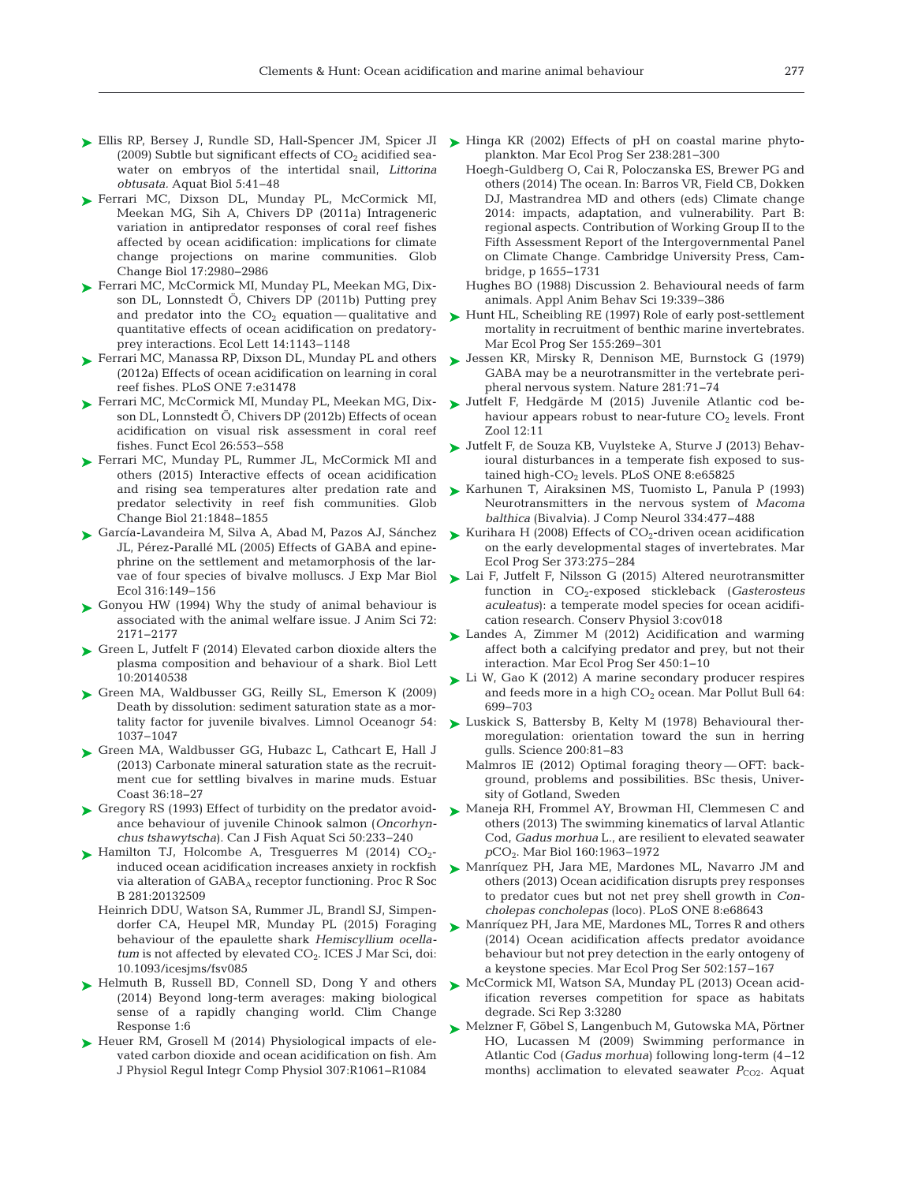- ► [Ellis RP, Bersey J, Rundle SD, Hall-Spencer JM, Spicer JI](http://dx.doi.org/10.3354/ab00118) ► [Hinga KR \(2002\) Effects of pH on coastal marine phyto-](http://dx.doi.org/10.3354/meps238281)(2009) Subtle but significant effects of  $CO<sub>2</sub>$  acidified seawater on embryos of the intertidal snail, *Littorina obtusata.* Aquat Biol 5:41-48
- ▶ [Ferrari MC, Dixson DL, Munday PL, McCormick MI,](http://dx.doi.org/10.1111/j.1365-2486.2011.02439.x) Meekan MG, Sih A, Chivers DP (2011a) Intrageneric variation in antipredator responses of coral reef fishes affected by ocean acidification: implications for climate change projections on marine communities. Glob Change Biol 17:2980-2986
- [Ferrari MC, McCormick MI, Munday PL, Meekan MG, Dix-](http://dx.doi.org/10.1111/j.1461-0248.2011.01683.x)➤ son DL, Lonnstedt Ö, Chivers DP (2011b) Putting prey and predator into the  $CO<sub>2</sub>$  equation—qualitative and quantitative effects of ocean acidification on predatoryprey interactions. Ecol Lett 14: 1143−1148
- ► [Ferrari MC, Manassa RP, Dixson DL, Munday PL and others](http://dx.doi.org/10.1371/journal.pone.0031478) (2012a) Effects of ocean acidification on learning in coral reef fishes. PLoS ONE 7:e31478
- [Ferrari MC, McCormick MI, Munday PL, Meekan MG, Dix-](http://dx.doi.org/10.1111/j.1365-2435.2011.01951.x)➤ son DL, Lonnstedt Ö, Chivers DP (2012b) Effects of ocean acidification on visual risk assessment in coral reef fishes. Funct Ecol 26: 553−558
- ▶ [Ferrari MC, Munday PL, Rummer JL, McCormick MI and](http://dx.doi.org/10.1111/gcb.12818) others (2015) Interactive effects of ocean acidification and rising sea temperatures alter predation rate and predator selectivity in reef fish communities. Glob Change Biol 21: 1848−1855
- ► [García-Lavandeira M, Silva A, Abad M, Pazos AJ, Sánchez](http://dx.doi.org/10.1016/j.jembe.2004.10.011) ► Kurihara H (2008) Effects of CO<sub>2</sub>-driven ocean acidification JL, Pérez-Parallé ML (2005) Effects of GABA and epine phrine on the settlement and metamorphosis of the larvae of four species of bivalve molluscs. J Exp Mar Biol Ecol 316: 149−156
- [Gonyou HW \(1994\) Why the study of animal behaviour is](http://www.ncbi.nlm.nih.gov/entrez/query.fcgi?cmd=Retrieve&db=PubMed&list_uids=7982848&dopt=Abstract) ➤ associated with the animal welfare issue. J Anim Sci 72: 2171−2177
- ► [Green L, Jutfelt F \(2014\) Elevated carbon dioxide alters the](http://dx.doi.org/10.1098/rsbl.2014.0538) plasma composition and behaviour of a shark. Biol Lett 10: 20140538
- ▶ [Green MA, Waldbusser GG, Reilly SL, Emerson K \(2009\)](http://dx.doi.org/10.4319/lo.2009.54.4.1037) Death by dissolution: sediment saturation state as a mortality factor for juvenile bivalves. Limnol Oceanogr 54: 1037−1047
- ▶ [Green MA, Waldbusser GG, Hubazc L, Cathcart E, Hall J](http://dx.doi.org/10.1007/s12237-012-9549-0) (2013) Carbonate mineral saturation state as the recruitment cue for settling bivalves in marine muds. Estuar Coast 36: 18−27
- ► [Gregory RS \(1993\) Effect of turbidity on the predator avoid](http://dx.doi.org/10.1139/f93-026)ance behaviour of juvenile Chinook salmon (*Oncorhynchus tshawytscha*). Can J Fish Aquat Sci 50: 233−240
- $\blacktriangleright$  Hamilton TJ, Holcombe A, Tresguerres M (2014) CO<sub>2</sub>induced ocean acidification increases anxiety in rockfish via alteration of GABA<sub>A</sub> receptor functioning. Proc R Soc B 281:20132509
	- Heinrich DDU, Watson SA, Rummer JL, Brandl SJ, Simpendorfer CA, Heupel MR, Munday PL (2015) Foraging behaviour of the epaulette shark *Hemiscyllium ocellatum* is not affected by elevated CO<sub>2</sub>. ICES J Mar Sci, doi: 10.1093/icesjms/fsv085
- ▶ [Helmuth B, Russell BD, Connell SD, Dong Y and others](http://dx.doi.org/10.1186/s40665-014-0006-0) (2014) Beyond long-term averages: making biological sense of a rapidly changing world. Clim Change Response 1:6
- ▶ [Heuer RM, Grosell M \(2014\) Physiological impacts of ele](http://dx.doi.org/10.1152/ajpregu.00064.2014)vated carbon dioxide and ocean acidification on fish. Am J Physiol Regul Integr Comp Physiol 307: R1061−R1084
- plankton. Mar Ecol Prog Ser 238:281-300
- Hoegh-Guldberg O, Cai R, Poloczanska ES, Brewer PG and others (2014) The ocean. In: Barros VR, Field CB, Dokken DJ, Mastrandrea MD and others (eds) Climate change 2014: impacts, adaptation, and vulnerability. Part B: regional aspects. Contribution of Working Group II to the Fifth Assessment Report of the Intergovernmental Panel on Climate Change. Cambridge University Press, Cambridge, p 1655−1731
- Hughes BO (1988) Discussion 2. Behavioural needs of farm animals. Appl Anim Behav Sci 19: 339−386
- ► [Hunt HL, Scheibling RE \(1997\) Role of early post-settlement](http://dx.doi.org/10.3354/meps155269) mortality in recruitment of benthic marine invertebrates. Mar Ecol Prog Ser 155:269-301
- [Jessen KR, Mirsky R, Dennison ME, Burnstock G \(1979\)](http://dx.doi.org/10.1038/281071a0) ➤ GABA may be a neurotransmitter in the vertebrate peripheral nervous system. Nature 281:71–74
- ▶ Jutfelt F, Hedgärde M (2015) Juvenile Atlantic cod behaviour appears robust to near-future  $CO<sub>2</sub>$  levels. Front Zool 12:11
- [Jutfelt F, de Souza KB, Vuylsteke A, Sturve J \(2013\) Behav-](http://dx.doi.org/10.1371/journal.pone.0065825)➤ ioural disturbances in a temperate fish exposed to sustained high-CO<sub>2</sub> levels. PLoS ONE 8:e65825
- [Karhunen T, Airaksinen MS, Tuomisto L, Panula P \(1993\)](http://dx.doi.org/10.1002/cne.903340311) ➤ Neurotransmitters in the nervous system of *Macoma balthica* (Bivalvia). J Comp Neurol 334: 477−488
- on the early developmental stages of invertebrates. Mar Ecol Prog Ser 373: 275−284
- [Lai F, Jutfelt F, Nilsson G \(2015\) Altered neurotransmitter](http://dx.doi.org/10.1093/conphys/cov018) ➤ function in CO2-exposed stickleback (*Gasterosteus* aculeatus): a temperate model species for ocean acidification research. Conserv Physiol 3:cov018
- ► [Landes A, Zimmer M \(2012\) Acidification and warming](http://dx.doi.org/10.3354/meps09666) affect both a calcifying predator and prey, but not their interaction. Mar Ecol Prog Ser 450: 1−10
- ► [Li W, Gao K \(2012\) A marine secondary producer respires](http://dx.doi.org/10.1016/j.marpolbul.2012.01.033) and feeds more in a high CO<sub>2</sub> ocean. Mar Pollut Bull 64: 699−703
- ► [Luskick S, Battersby B, Kelty M \(1978\) Behavioural ther](http://dx.doi.org/10.1126/science.635577)moregulation: orientation toward the sun in herring gulls. Science 200: 81−83
	- Malmros IE (2012) Optimal foraging theory OFT: background, problems and possibilities. BSc thesis, University of Gotland, Sweden
- [Maneja RH, Frommel AY, Browman HI, Clemmesen C and](http://dx.doi.org/10.1007/s00227-012-2054-y) ➤ others (2013) The swimming kinematics of larval Atlantic Cod, *Gadus morhua* L., are resilient to elevated seawater *p*CO2. Mar Biol 160: 1963−1972
- ▶ [Manríquez PH, Jara ME, Mardones ML, Navarro JM and](http://dx.doi.org/10.1371/journal.pone.0068643) others (2013) Ocean acidification disrupts prey responses to predator cues but not net prey shell growth in *Con cholepas concholepas* (loco). PLoS ONE 8: e68643
- ► [Manríquez PH, Jara ME, Mardones ML, Torres R and others](http://dx.doi.org/10.3354/meps10703) (2014) Ocean acidification affects predator avoidance behaviour but not prey detection in the early ontogeny of a keystone species. Mar Ecol Prog Ser 502: 157−167
- ► [McCormick MI, Watson SA, Munday PL \(2013\) Ocean acid](http://dx.doi.org/10.1038/srep03280)ification reverses competition for space as habitats degrade. Sci Rep 3:3280
- [Melzner F, Göbel S, Langenbuch M, Gutowska MA, Pörtner](http://dx.doi.org/10.1016/j.aquatox.2008.12.011) ➤ HO, Lucassen M (2009) Swimming performance in Atlantic Cod (*Gadus morhua*) following long-term (4–12 months) acclimation to elevated seawater *P<sub>CO2</sub>*. Aquat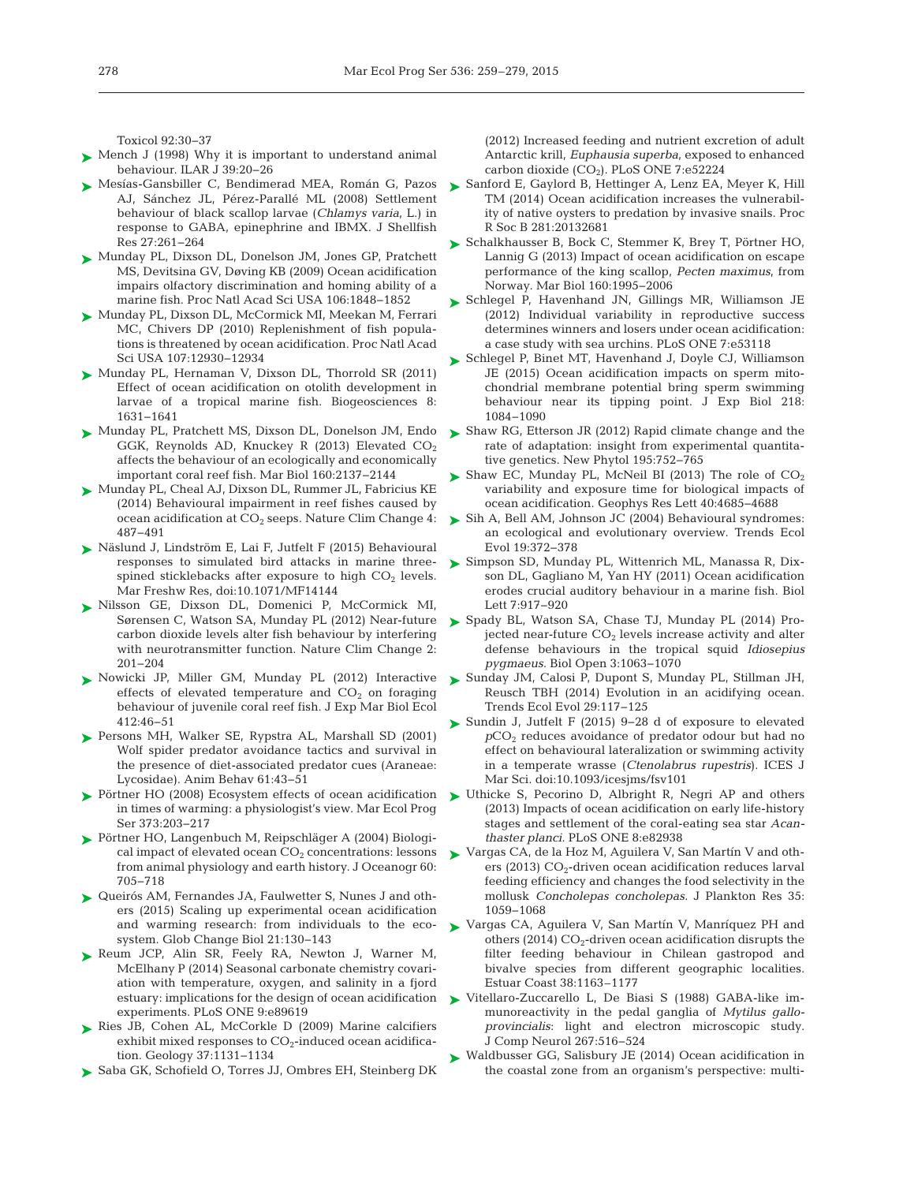Toxicol 92: 30−37

- ► [Mench J \(1998\) Why it is important to understand animal](http://dx.doi.org/10.1093/ilar.39.1.20) behaviour. ILAR J 39:20-26
- [Mesías-Gansbiller C, Bendimerad MEA, Román G, Pazos](http://dx.doi.org/10.2983/0730-8000(2008)27%5b261%3ASBOBSL%5d2.0.CO%3B2) ➤ AJ, Sánchez JL, Pérez-Parallé ML (2008) Settlement behaviour of black scallop larvae (*Chlamys varia*, L.) in response to GABA, epinephrine and IBMX. J Shellfish Res 27: 261−264
- ► [Munday PL, Dixson DL, Donelson JM, Jones GP, Pratchett](http://dx.doi.org/10.1073/pnas.0809996106) MS, Devitsina GV, Døving KB (2009) Ocean acidification impairs olfactory discrimination and homing ability of a marine fish. Proc Natl Acad Sci USA 106: 1848−1852
- ► [Munday PL, Dixson DL, McCormick MI, Meekan M, Ferrari](http://dx.doi.org/10.1073/pnas.1004519107) MC, Chivers DP (2010) Replenishment of fish populations is threatened by ocean acidification. Proc Natl Acad Sci USA 107: 12930−12934
- ► [Munday PL, Hernaman V, Dixson DL, Thorrold SR \(2011\)](http://dx.doi.org/10.5194/bg-8-1631-2011) Effect of ocean acidification on otolith development in larvae of a tropical marine fish. Biogeosciences 8: 1631−1641
- ► [Munday PL, Pratchett MS, Dixson DL, Donelson JM, Endo](http://dx.doi.org/10.1007/s00227-012-2111-6) GGK, Reynolds AD, Knuckey R (2013) Elevated CO2 affects the behaviour of an ecologically and economically important coral reef fish. Mar Biol 160: 2137−2144
- [Munday PL, Cheal AJ, Dixson DL, Rummer JL, Fabricius KE](http://dx.doi.org/10.1038/nclimate2195) ➤ (2014) Behavioural impairment in reef fishes caused by ocean acidification at  $CO<sub>2</sub>$  seeps. Nature Clim Change 4: 487−491
- ▶ [Näslund J, Lindström E, Lai F, Jutfelt F \(2015\) Behavioural](http://dx.doi.org/10.1071/MF14144) responses to simulated bird attacks in marine threespined sticklebacks after exposure to high  $CO<sub>2</sub>$  levels. Mar Freshw Res, doi: 10.1071/MF14144
- [Nilsson GE, Dixson DL, Domenici P, McCormick MI,](http://dx.doi.org/10.1038/nclimate1352) ➤ Sørensen C, Watson SA, Munday PL (2012) Near-future carbon dioxide levels alter fish behaviour by interfering with neurotransmitter function. Nature Clim Change 2: 201−204
- ▶ [Nowicki JP, Miller GM, Munday PL \(2012\) Interactive](http://dx.doi.org/10.1016/j.jembe.2011.10.020) effects of elevated temperature and  $CO<sub>2</sub>$  on foraging behaviour of juvenile coral reef fish. J Exp Mar Biol Ecol 412: 46−51
- ▶ [Persons MH, Walker SE, Rypstra AL, Marshall SD \(2001\)](http://dx.doi.org/10.1006/anbe.2000.1594) Wolf spider predator avoidance tactics and survival in the presence of diet-associated predator cues (Araneae: Lycosidae). Anim Behav 61:43-51
- ▶ [Pörtner HO \(2008\) Ecosystem effects of ocean acidification](http://dx.doi.org/10.3354/meps07768) in times of warming:a physiologist's view. Mar Ecol Prog Ser 373:203-217
- ▶ [Pörtner HO, Langenbuch M, Reipschläger A \(2004\) Biologi](http://dx.doi.org/10.1007/s10872-004-5763-0)cal impact of elevated ocean  $CO<sub>2</sub>$  concentrations: lessons from animal physiology and earth history. J Oceanogr 60: 705−718
- ▶ [Queirós AM, Fernandes JA, Faulwetter S, Nunes J and oth](http://dx.doi.org/10.1111/gcb.12675)ers (2015) Scaling up experimental ocean acidification and warming research: from individuals to the ecosystem. Glob Change Biol 21: 130−143
- ▶ [Reum JCP, Alin SR, Feely RA, Newton J, Warner M,](http://dx.doi.org/10.1371/journal.pone.0089619) McElhany P (2014) Seasonal carbonate chemistry covariation with temperature, oxygen, and salinity in a fjord estuary:implications for the design of ocean acidification experiments. PLoS ONE 9:e89619
- ▶ [Ries JB, Cohen AL, McCorkle D \(2009\) Marine calcifiers](http://dx.doi.org/10.1130/G30210A.1) exhibit mixed responses to CO<sub>2</sub>-induced ocean acidification. Geology 37: 1131−1134
- ► [Saba GK, Schofield O, Torres JJ, Ombres EH, Steinberg DK](http://dx.doi.org/10.1371/journal.pone.0052224)

(2012) Increased feeding and nutrient excretion of adult Antarctic krill, *Euphausia superba*, exposed to enhanced carbon dioxide (CO<sub>2</sub>). PLoS ONE 7:e52224

- ► [Sanford E, Gaylord B, Hettinger A, Lenz EA, Meyer K, Hill](http://dx.doi.org/10.1098/rspb.2013.2681) TM (2014) Ocean acidification increases the vulnerability of native oysters to predation by invasive snails. Proc R Soc B 281:20132681
- ► [Schalkhausser B, Bock C, Stemmer K, Brey T, Pörtner HO,](http://dx.doi.org/10.1007/s00227-012-2057-8) Lannig G (2013) Impact of ocean acidification on escape performance of the king scallop, *Pecten maximus*, from Norway. Mar Biol 160: 1995−2006
- ▶ [Schlegel P, Havenhand JN, Gillings MR, Williamson JE](http://dx.doi.org/10.1371/journal.pone.0053118) (2012) Individual variability in reproductive success determines winners and losers under ocean acidification: a case study with sea urchins. PLoS ONE 7:e53118
- ► [Schlegel P, Binet MT, Havenhand J, Doyle CJ, Williamson](http://dx.doi.org/10.1242/jeb.114900) JE (2015) Ocean acidification impacts on sperm mitochondrial membrane potential bring sperm swimming behaviour near its tipping point. J Exp Biol 218: 1084−1090
- ► [Shaw RG, Etterson JR \(2012\) Rapid climate change and the](http://dx.doi.org/10.1111/j.1469-8137.2012.04230.x) rate of adaptation: insight from experimental quantitative genetics. New Phytol 195:752-765
- Shaw EC, Munday PL, McNeil BI (2013) The role of  $CO<sub>2</sub>$ variability and exposure time for biological impacts of ocean acidification. Geophys Res Lett 40:4685-4688
- [Sih A, Bell AM, Johnson JC \(2004\) Behavioural syndromes:](http://dx.doi.org/10.1016/j.tree.2004.04.009)  ➤ an ecological and evolutionary overview. Trends Ecol Evol 19: 372−378
- [Simpson SD, Munday PL, Wittenrich ML, Manassa R, Dix-](http://dx.doi.org/10.1098/rsbl.2011.0293)➤ son DL, Gagliano M, Yan HY (2011) Ocean acidification erodes crucial auditory behaviour in a marine fish. Biol Lett 7:917-920
- ▶ [Spady BL, Watson SA, Chase TJ, Munday PL \(2014\) Pro](http://dx.doi.org/10.1242/bio.20149894)jected near-future  $CO<sub>2</sub>$  levels increase activity and alter defense behaviours in the tropical squid *Idiosepius pygmaeus.* Biol Open 3: 1063−1070
- [Sunday JM, Calosi P, Dupont S, Munday PL, Stillman JH,](http://dx.doi.org/10.1016/j.tree.2013.11.001) ➤ Reusch TBH (2014) Evolution in an acidifying ocean. Trends Ecol Evol 29: 117−125
- [Sundin J, Jutfelt F \(2015\) 9−28 d of exposure to elevated](http://dx.doi.org/10.1093/icesjms/fsv101) ➤ *p*CO2 reduces avoidance of predator odour but had no effect on behavioural lateralization or swimming activity in a temperate wrasse (*Ctenolabrus rupestris*). ICES J Mar Sci. doi:10.1093/icesjms/fsv101
- ► [Uthicke S, Pecorino D, Albright R, Negri AP and others](http://dx.doi.org/10.1371/journal.pone.0082938) (2013) Impacts of ocean acidification on early life-history stages and settlement of the coral-eating sea star *Acan*thaster planci. PLoS ONE 8:e82938
- [Vargas CA, de la Hoz M, Aguilera V, San Martín V and oth-](http://dx.doi.org/10.1093/plankt/fbt045)➤ ers (2013)  $CO<sub>2</sub>$ -driven ocean acidification reduces larval feeding efficiency and changes the food selectivity in the mollusk *Concholepas concholepas.* J Plankton Res 35: 1059−1068
- [Vargas CA, Aguilera V, San Martín V, Manríquez PH and](http://dx.doi.org/10.1007/s12237-014-9873-7) ➤ others (2014)  $CO<sub>2</sub>$ -driven ocean acidification disrupts the filter feeding behaviour in Chilean gastropod and bivalve species from different geographic localities. Estuar Coast 38:1163–1177
- ▶ Vitellaro-Zuccarello L, De Biasi S (1988) GABA-like immunoreactivity in the pedal ganglia of *Mytilus gallo*provincialis: light and electron microscopic study. J Comp Neurol 267: 516−524
- ► [Waldbusser GG, Salisbury JE \(2014\) Ocean acidification in](http://dx.doi.org/10.1146/annurev-marine-121211-172238) the coastal zone from an organism's perspective: multi-